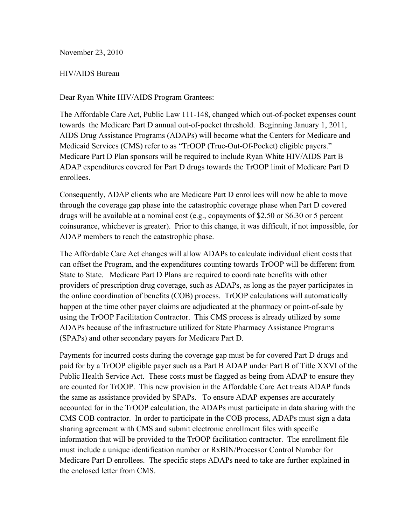November 23, 2010

#### HIV/AIDS Bureau

Dear Ryan White HIV/AIDS Program Grantees:

The Affordable Care Act, Public Law 111-148, changed which out-of-pocket expenses count towards the Medicare Part D annual out-of-pocket threshold. Beginning January 1, 2011, AIDS Drug Assistance Programs (ADAPs) will become what the Centers for Medicare and Medicaid Services (CMS) refer to as "TrOOP (True-Out-Of-Pocket) eligible payers." Medicare Part D Plan sponsors will be required to include Ryan White HIV/AIDS Part B ADAP expenditures covered for Part D drugs towards the TrOOP limit of Medicare Part D enrollees.

Consequently, ADAP clients who are Medicare Part D enrollees will now be able to move through the coverage gap phase into the catastrophic coverage phase when Part D covered drugs will be available at a nominal cost (e.g., copayments of \$2.50 or \$6.30 or 5 percent coinsurance, whichever is greater). Prior to this change, it was difficult, if not impossible, for ADAP members to reach the catastrophic phase.

The Affordable Care Act changes will allow ADAPs to calculate individual client costs that can offset the Program, and the expenditures counting towards TrOOP will be different from State to State. Medicare Part D Plans are required to coordinate benefits with other providers of prescription drug coverage, such as ADAPs, as long as the payer participates in the online coordination of benefits (COB) process. TrOOP calculations will automatically happen at the time other payer claims are adjudicated at the pharmacy or point-of-sale by using the TrOOP Facilitation Contractor. This CMS process is already utilized by some ADAPs because of the infrastructure utilized for State Pharmacy Assistance Programs (SPAPs) and other secondary payers for Medicare Part D.

Payments for incurred costs during the coverage gap must be for covered Part D drugs and paid for by a TrOOP eligible payer such as a Part B ADAP under Part B of Title XXVI of the Public Health Service Act. These costs must be flagged as being from ADAP to ensure they are counted for TrOOP. This new provision in the Affordable Care Act treats ADAP funds the same as assistance provided by SPAPs. To ensure ADAP expenses are accurately accounted for in the TrOOP calculation, the ADAPs must participate in data sharing with the CMS COB contractor. In order to participate in the COB process, ADAPs must sign a data sharing agreement with CMS and submit electronic enrollment files with specific information that will be provided to the TrOOP facilitation contractor. The enrollment file must include a unique identification number or RxBIN/Processor Control Number for Medicare Part D enrollees. The specific steps ADAPs need to take are further explained in the enclosed letter from CMS.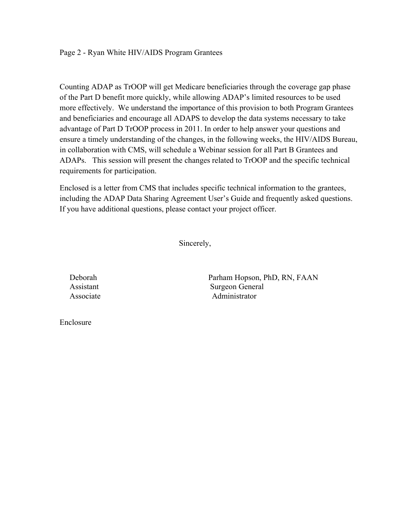Counting ADAP as TrOOP will get Medicare beneficiaries through the coverage gap phase of the Part D benefit more quickly, while allowing ADAP's limited resources to be used more effectively. We understand the importance of this provision to both Program Grantees and beneficiaries and encourage all ADAPS to develop the data systems necessary to take advantage of Part D TrOOP process in 2011. In order to help answer your questions and ensure a timely understanding of the changes, in the following weeks, the HIV/AIDS Bureau, in collaboration with CMS, will schedule a Webinar session for all Part B Grantees and ADAPs. This session will present the changes related to TrOOP and the specific technical requirements for participation.

Enclosed is a letter from CMS that includes specific technical information to the grantees, including the ADAP Data Sharing Agreement User's Guide and frequently asked questions. If you have additional questions, please contact your project officer.

Sincerely,

 Deborah Parham Hopson, PhD, RN, FAAN Assistant Surgeon General Associate **Administrator** 

Enclosure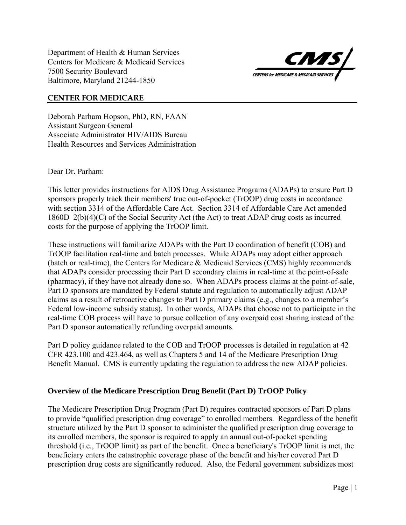Department of Health & Human Services Centers for Medicare & Medicaid Services 7500 Security Boulevard Baltimore, Maryland 21244-1850



#### **CENTER FOR MEDICARE**

Deborah Parham Hopson, PhD, RN, FAAN Assistant Surgeon General Associate Administrator HIV/AIDS Bureau Health Resources and Services Administration

Dear Dr. Parham:

This letter provides instructions for AIDS Drug Assistance Programs (ADAPs) to ensure Part D sponsors properly track their members' true out-of-pocket (TrOOP) drug costs in accordance with section 3314 of the Affordable Care Act. Section 3314 of Affordable Care Act amended 1860D–2(b)(4)(C) of the Social Security Act (the Act) to treat ADAP drug costs as incurred costs for the purpose of applying the TrOOP limit.

These instructions will familiarize ADAPs with the Part D coordination of benefit (COB) and TrOOP facilitation real-time and batch processes. While ADAPs may adopt either approach (batch or real-time), the Centers for Medicare & Medicaid Services (CMS) highly recommends that ADAPs consider processing their Part D secondary claims in real-time at the point-of-sale (pharmacy), if they have not already done so. When ADAPs process claims at the point-of-sale, Part D sponsors are mandated by Federal statute and regulation to automatically adjust ADAP claims as a result of retroactive changes to Part D primary claims (e.g., changes to a member's Federal low-income subsidy status). In other words, ADAPs that choose not to participate in the real-time COB process will have to pursue collection of any overpaid cost sharing instead of the Part D sponsor automatically refunding overpaid amounts.

Part D policy guidance related to the COB and TrOOP processes is detailed in regulation at 42 CFR 423.100 and 423.464, as well as Chapters 5 and 14 of the Medicare Prescription Drug Benefit Manual. CMS is currently updating the regulation to address the new ADAP policies.

#### **Overview of the Medicare Prescription Drug Benefit (Part D) TrOOP Policy**

The Medicare Prescription Drug Program (Part D) requires contracted sponsors of Part D plans to provide "qualified prescription drug coverage" to enrolled members. Regardless of the benefit structure utilized by the Part D sponsor to administer the qualified prescription drug coverage to its enrolled members, the sponsor is required to apply an annual out-of-pocket spending threshold (i.e., TrOOP limit) as part of the benefit. Once a beneficiary's TrOOP limit is met, the beneficiary enters the catastrophic coverage phase of the benefit and his/her covered Part D prescription drug costs are significantly reduced. Also, the Federal government subsidizes most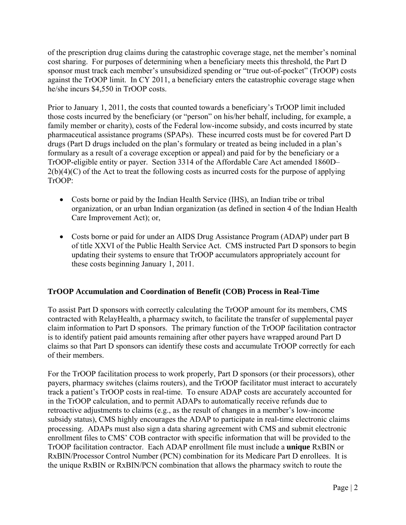of the prescription drug claims during the catastrophic coverage stage, net the member's nominal cost sharing. For purposes of determining when a beneficiary meets this threshold, the Part D sponsor must track each member's unsubsidized spending or "true out-of-pocket" (TrOOP) costs against the TrOOP limit. In CY 2011, a beneficiary enters the catastrophic coverage stage when he/she incurs \$4,550 in TrOOP costs.

Prior to January 1, 2011, the costs that counted towards a beneficiary's TrOOP limit included those costs incurred by the beneficiary (or "person" on his/her behalf, including, for example, a family member or charity), costs of the Federal low-income subsidy, and costs incurred by state pharmaceutical assistance programs (SPAPs). These incurred costs must be for covered Part D drugs (Part D drugs included on the plan's formulary or treated as being included in a plan's formulary as a result of a coverage exception or appeal) and paid for by the beneficiary or a TrOOP-eligible entity or payer. Section 3314 of the Affordable Care Act amended 1860D–  $2(b)(4)(C)$  of the Act to treat the following costs as incurred costs for the purpose of applying TrOOP:

- Costs borne or paid by the Indian Health Service (IHS), an Indian tribe or tribal organization, or an urban Indian organization (as defined in section 4 of the Indian Health Care Improvement Act); or,
- Costs borne or paid for under an AIDS Drug Assistance Program (ADAP) under part B of title XXVI of the Public Health Service Act. CMS instructed Part D sponsors to begin updating their systems to ensure that TrOOP accumulators appropriately account for these costs beginning January 1, 2011.

# **TrOOP Accumulation and Coordination of Benefit (COB) Process in Real-Time**

To assist Part D sponsors with correctly calculating the TrOOP amount for its members, CMS contracted with RelayHealth, a pharmacy switch, to facilitate the transfer of supplemental payer claim information to Part D sponsors. The primary function of the TrOOP facilitation contractor is to identify patient paid amounts remaining after other payers have wrapped around Part D claims so that Part D sponsors can identify these costs and accumulate TrOOP correctly for each of their members.

For the TrOOP facilitation process to work properly, Part D sponsors (or their processors), other payers, pharmacy switches (claims routers), and the TrOOP facilitator must interact to accurately track a patient's TrOOP costs in real-time. To ensure ADAP costs are accurately accounted for in the TrOOP calculation, and to permit ADAPs to automatically receive refunds due to retroactive adjustments to claims (e.g., as the result of changes in a member's low-income subsidy status), CMS highly encourages the ADAP to participate in real-time electronic claims processing. ADAPs must also sign a data sharing agreement with CMS and submit electronic enrollment files to CMS' COB contractor with specific information that will be provided to the TrOOP facilitation contractor. Each ADAP enrollment file must include a **unique** RxBIN or RxBIN/Processor Control Number (PCN) combination for its Medicare Part D enrollees. It is the unique RxBIN or RxBIN/PCN combination that allows the pharmacy switch to route the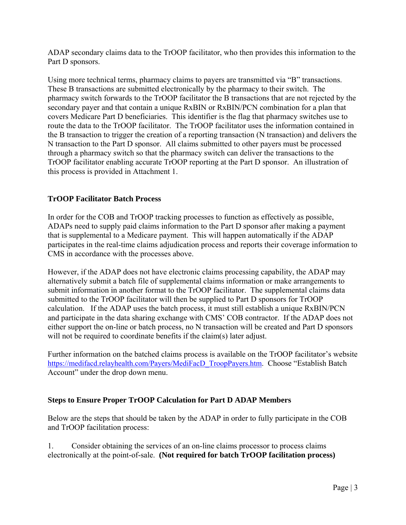ADAP secondary claims data to the TrOOP facilitator, who then provides this information to the Part D sponsors.

Using more technical terms, pharmacy claims to payers are transmitted via "B" transactions. These B transactions are submitted electronically by the pharmacy to their switch. The pharmacy switch forwards to the TrOOP facilitator the B transactions that are not rejected by the secondary payer and that contain a unique RxBIN or RxBIN/PCN combination for a plan that covers Medicare Part D beneficiaries. This identifier is the flag that pharmacy switches use to route the data to the TrOOP facilitator. The TrOOP facilitator uses the information contained in the B transaction to trigger the creation of a reporting transaction (N transaction) and delivers the N transaction to the Part D sponsor. All claims submitted to other payers must be processed through a pharmacy switch so that the pharmacy switch can deliver the transactions to the TrOOP facilitator enabling accurate TrOOP reporting at the Part D sponsor. An illustration of this process is provided in Attachment 1.

# **TrOOP Facilitator Batch Process**

In order for the COB and TrOOP tracking processes to function as effectively as possible, ADAPs need to supply paid claims information to the Part D sponsor after making a payment that is supplemental to a Medicare payment. This will happen automatically if the ADAP participates in the real-time claims adjudication process and reports their coverage information to CMS in accordance with the processes above.

However, if the ADAP does not have electronic claims processing capability, the ADAP may alternatively submit a batch file of supplemental claims information or make arrangements to submit information in another format to the TrOOP facilitator. The supplemental claims data submitted to the TrOOP facilitator will then be supplied to Part D sponsors for TrOOP calculation. If the ADAP uses the batch process, it must still establish a unique RxBIN/PCN and participate in the data sharing exchange with CMS' COB contractor. If the ADAP does not either support the on-line or batch process, no N transaction will be created and Part D sponsors will not be required to coordinate benefits if the claim(s) later adjust.

Further information on the batched claims process is available on the TrOOP facilitator's website https://medifacd.relayhealth.com/Payers/MediFacD\_TroopPayers.htm. Choose "Establish Batch Account" under the drop down menu.

# **Steps to Ensure Proper TrOOP Calculation for Part D ADAP Members**

Below are the steps that should be taken by the ADAP in order to fully participate in the COB and TrOOP facilitation process:

 electronically at the point-of-sale. **(Not required for batch TrOOP facilitation process)** 1. Consider obtaining the services of an on-line claims processor to process claims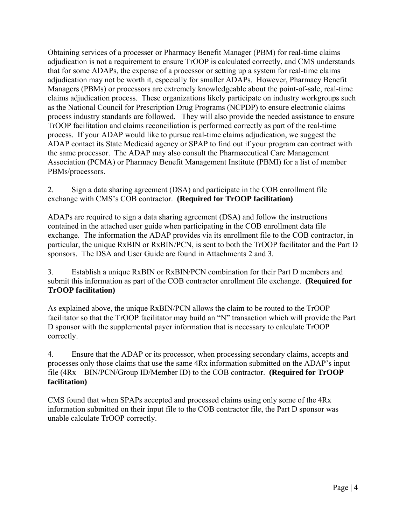Obtaining services of a processer or Pharmacy Benefit Manager (PBM) for real-time claims adjudication is not a requirement to ensure TrOOP is calculated correctly, and CMS understands that for some ADAPs, the expense of a processor or setting up a system for real-time claims adjudication may not be worth it, especially for smaller ADAPs. However, Pharmacy Benefit Managers (PBMs) or processors are extremely knowledgeable about the point-of-sale, real-time claims adjudication process. These organizations likely participate on industry workgroups such as the National Council for Prescription Drug Programs (NCPDP) to ensure electronic claims process industry standards are followed. They will also provide the needed assistance to ensure TrOOP facilitation and claims reconciliation is performed correctly as part of the real-time process. If your ADAP would like to pursue real-time claims adjudication, we suggest the ADAP contact its State Medicaid agency or SPAP to find out if your program can contract with the same processor. The ADAP may also consult the Pharmaceutical Care Management Association (PCMA) or Pharmacy Benefit Management Institute (PBMI) for a list of member PBMs/processors.

2. Sign a data sharing agreement (DSA) and participate in the COB enrollment file exchange with CMS's COB contractor. **(Required for TrOOP facilitation)** 

ADAPs are required to sign a data sharing agreement (DSA) and follow the instructions contained in the attached user guide when participating in the COB enrollment data file exchange. The information the ADAP provides via its enrollment file to the COB contractor, in particular, the unique RxBIN or RxBIN/PCN, is sent to both the TrOOP facilitator and the Part D sponsors. The DSA and User Guide are found in Attachments 2 and 3.

3. Establish a unique RxBIN or RxBIN/PCN combination for their Part D members and submit this information as part of the COB contractor enrollment file exchange. **(Required for TrOOP facilitation)** 

As explained above, the unique RxBIN/PCN allows the claim to be routed to the TrOOP facilitator so that the TrOOP facilitator may build an "N" transaction which will provide the Part D sponsor with the supplemental payer information that is necessary to calculate TrOOP correctly.

 **facilitation)** 4. Ensure that the ADAP or its processor, when processing secondary claims, accepts and processes only those claims that use the same 4Rx information submitted on the ADAP's input file (4Rx – BIN/PCN/Group ID/Member ID) to the COB contractor. **(Required for TrOOP** 

CMS found that when SPAPs accepted and processed claims using only some of the 4Rx information submitted on their input file to the COB contractor file, the Part D sponsor was unable calculate TrOOP correctly.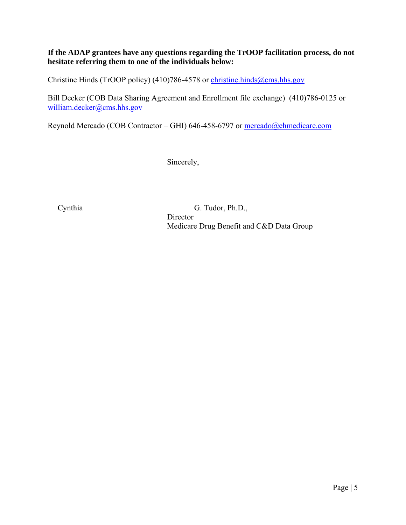# **hesitate referring them to one of the individuals below: If the ADAP grantees have any questions regarding the TrOOP facilitation process, do not**

Christine Hinds (TrOOP policy) (410)786-4578 or christine.hinds@cms.hhs.gov

Bill Decker (COB Data Sharing Agreement and Enrollment file exchange) (410)786-0125 or william.decker@cms.hhs.gov

Reynold Mercado (COB Contractor – GHI) 646-458-6797 or mercado@ehmedicare.com

Sincerely,

Director Cynthia G. Tudor, Ph.D., Medicare Drug Benefit and C&D Data Group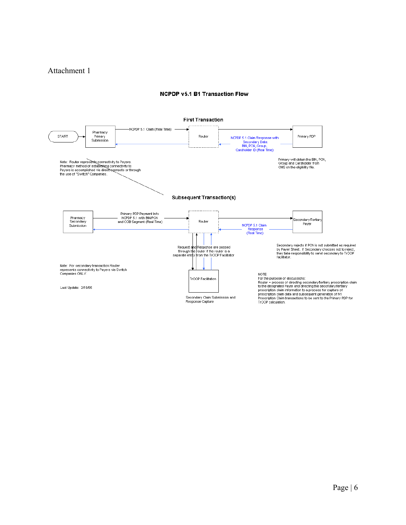## Attachment 1

#### **NCPDP v5.1 B1 Transaction Flow**

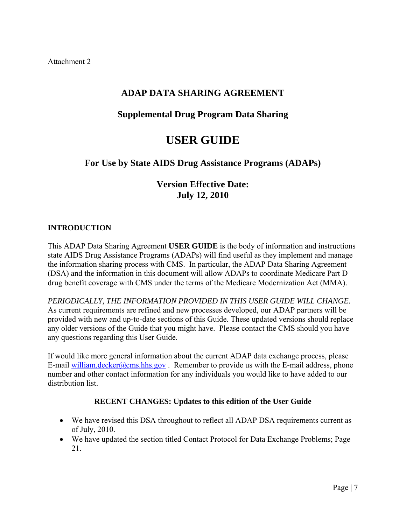# **ADAP DATA SHARING AGREEMENT**

# **Supplemental Drug Program Data Sharing**

# **USER GUIDE**

# **For Use by State AIDS Drug Assistance Programs (ADAPs)**

# **Version Effective Date: July 12, 2010**

# **INTRODUCTION**

This ADAP Data Sharing Agreement **USER GUIDE** is the body of information and instructions state AIDS Drug Assistance Programs (ADAPs) will find useful as they implement and manage the information sharing process with CMS. In particular, the ADAP Data Sharing Agreement (DSA) and the information in this document will allow ADAPs to coordinate Medicare Part D drug benefit coverage with CMS under the terms of the Medicare Modernization Act (MMA).

 *PERIODICALLY, THE INFORMATION PROVIDED IN THIS USER GUIDE WILL CHANGE.* As current requirements are refined and new processes developed, our ADAP partners will be provided with new and up-to-date sections of this Guide. These updated versions should replace any older versions of the Guide that you might have. Please contact the CMS should you have any questions regarding this User Guide.

If would like more general information about the current ADAP data exchange process, please E-mail william.decker@cms.hhs.gov. Remember to provide us with the E-mail address, phone number and other contact information for any individuals you would like to have added to our distribution list.

#### **RECENT CHANGES: Updates to this edition of the User Guide**

- We have revised this DSA throughout to reflect all ADAP DSA requirements current as of July, 2010.
- We have updated the section titled Contact Protocol for Data Exchange Problems; Page 21.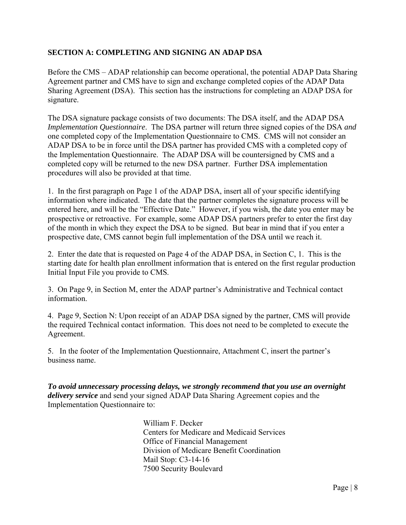# **SECTION A: COMPLETING AND SIGNING AN ADAP DSA**

Before the CMS – ADAP relationship can become operational, the potential ADAP Data Sharing Agreement partner and CMS have to sign and exchange completed copies of the ADAP Data Sharing Agreement (DSA). This section has the instructions for completing an ADAP DSA for signature.

The DSA signature package consists of two documents: The DSA itself, and the ADAP DSA *Implementation Questionnaire*. The DSA partner will return three signed copies of the DSA *and*  one completed copy of the Implementation Questionnaire to CMS. CMS will not consider an ADAP DSA to be in force until the DSA partner has provided CMS with a completed copy of the Implementation Questionnaire. The ADAP DSA will be countersigned by CMS and a completed copy will be returned to the new DSA partner. Further DSA implementation procedures will also be provided at that time.

1. In the first paragraph on Page 1 of the ADAP DSA, insert all of your specific identifying information where indicated. The date that the partner completes the signature process will be entered here, and will be the "Effective Date." However, if you wish, the date you enter may be prospective or retroactive. For example, some ADAP DSA partners prefer to enter the first day of the month in which they expect the DSA to be signed. But bear in mind that if you enter a prospective date, CMS cannot begin full implementation of the DSA until we reach it.

2. Enter the date that is requested on Page 4 of the ADAP DSA, in Section C, 1. This is the starting date for health plan enrollment information that is entered on the first regular production Initial Input File you provide to CMS.

3. On Page 9, in Section M, enter the ADAP partner's Administrative and Technical contact information.

4. Page 9, Section N: Upon receipt of an ADAP DSA signed by the partner, CMS will provide the required Technical contact information. This does not need to be completed to execute the Agreement.

5. In the footer of the Implementation Questionnaire, Attachment C, insert the partner's business name.

*To avoid unnecessary processing delays, we strongly recommend that you use an overnight delivery service* and send your signed ADAP Data Sharing Agreement copies and the Implementation Questionnaire to:

> William F. Decker Centers for Medicare and Medicaid Services Office of Financial Management Division of Medicare Benefit Coordination Mail Stop: C3-14-16 7500 Security Boulevard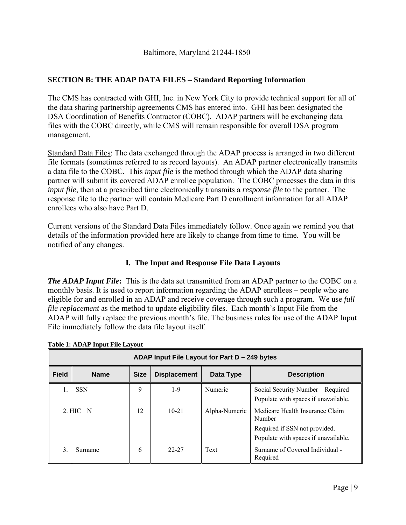# **SECTION B: THE ADAP DATA FILES – Standard Reporting Information**

The CMS has contracted with GHI, Inc. in New York City to provide technical support for all of the data sharing partnership agreements CMS has entered into. GHI has been designated the DSA Coordination of Benefits Contractor (COBC). ADAP partners will be exchanging data files with the COBC directly, while CMS will remain responsible for overall DSA program management.

Standard Data Files: The data exchanged through the ADAP process is arranged in two different file formats (sometimes referred to as record layouts). An ADAP partner electronically transmits a data file to the COBC. This *input file* is the method through which the ADAP data sharing partner will submit its covered ADAP enrollee population. The COBC processes the data in this *input file*, then at a prescribed time electronically transmits a *response file* to the partner. The response file to the partner will contain Medicare Part D enrollment information for all ADAP enrollees who also have Part D.

Current versions of the Standard Data Files immediately follow. Once again we remind you that details of the information provided here are likely to change from time to time. You will be notified of any changes.

# **I. The Input and Response File Data Layouts**

*The ADAP Input File***:** This is the data set transmitted from an ADAP partner to the COBC on a monthly basis. It is used to report information regarding the ADAP enrollees – people who are eligible for and enrolled in an ADAP and receive coverage through such a program. We use *full file replacement* as the method to update eligibility files. Each month's Input File from the ADAP will fully replace the previous month's file. The business rules for use of the ADAP Input File immediately follow the data file layout itself.

|              | ADAP Input File Layout for Part D - 249 bytes |             |                     |               |                                                                                                                    |
|--------------|-----------------------------------------------|-------------|---------------------|---------------|--------------------------------------------------------------------------------------------------------------------|
| <b>Field</b> | <b>Name</b>                                   | <b>Size</b> | <b>Displacement</b> | Data Type     | <b>Description</b>                                                                                                 |
| 1.           | <b>SSN</b>                                    | 9           | $1-9$               | Numeric       | Social Security Number – Required<br>Populate with spaces if unavailable.                                          |
|              | 2. HIC<br>-N                                  | 12          | $10-21$             | Alpha-Numeric | Medicare Health Insurance Claim<br>Number<br>Required if SSN not provided.<br>Populate with spaces if unavailable. |
| 3.           | Surname                                       | 6           | 22-27               | Text          | Surname of Covered Individual -<br>Required                                                                        |

#### **Table 1: ADAP Input File Layout**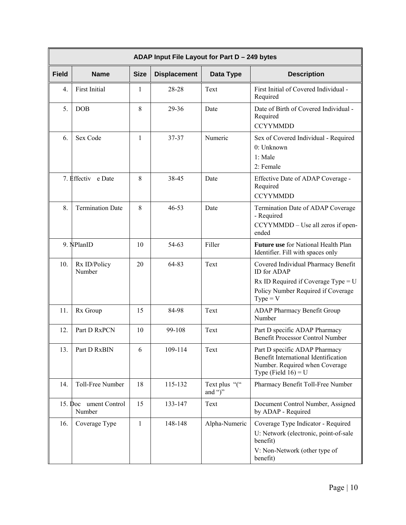|              | ADAP Input File Layout for Part D - 249 bytes |              |                     |                          |                                                                                                                                                        |
|--------------|-----------------------------------------------|--------------|---------------------|--------------------------|--------------------------------------------------------------------------------------------------------------------------------------------------------|
| <b>Field</b> | <b>Name</b>                                   | <b>Size</b>  | <b>Displacement</b> | Data Type                | <b>Description</b>                                                                                                                                     |
| 4.           | <b>First Initial</b>                          | 1            | 28-28               | Text                     | First Initial of Covered Individual -<br>Required                                                                                                      |
| 5.           | <b>DOB</b>                                    | 8            | 29-36               | Date                     | Date of Birth of Covered Individual -<br>Required<br><b>CCYYMMDD</b>                                                                                   |
| 6.           | Sex Code                                      | $\mathbf{1}$ | 37-37               | Numeric                  | Sex of Covered Individual - Required<br>0: Unknown<br>$1:$ Male<br>2: Female                                                                           |
|              | 7. Effectiv e Date                            | 8            | 38-45               | Date                     | Effective Date of ADAP Coverage -<br>Required<br><b>CCYYMMDD</b>                                                                                       |
| 8.           | <b>Termination Date</b>                       | 8            | $46 - 53$           | Date                     | Termination Date of ADAP Coverage<br>- Required<br>CCYYMMDD - Use all zeros if open-<br>ended                                                          |
|              | 9. NPlanID                                    | 10           | 54-63               | Filler                   | Future use for National Health Plan<br>Identifier. Fill with spaces only                                                                               |
| 10.          | Rx ID/Policy<br>Number                        | 20           | 64-83               | Text                     | Covered Individual Pharmacy Benefit<br><b>ID</b> for ADAP<br>$Rx$ ID Required if Coverage Type = U<br>Policy Number Required if Coverage<br>$Type = V$ |
| 11.          | Rx Group                                      | 15           | 84-98               | Text                     | <b>ADAP Pharmacy Benefit Group</b><br>Number                                                                                                           |
| 12.          | Part D RxPCN                                  | 10           | 99-108              | Text                     | Part D specific ADAP Pharmacy<br>Benefit Processor Control Number                                                                                      |
| 13.          | Part D RxBIN                                  | 6            | 109-114             | Text                     | Part D specific ADAP Pharmacy<br>Benefit International Identification<br>Number. Required when Coverage<br>Type (Field $16$ ) = U                      |
| 14.          | Toll-Free Number                              | 18           | 115-132             | Text plus "("<br>and ")" | Pharmacy Benefit Toll-Free Number                                                                                                                      |
| $15.$ Doc    | ument Control<br>Number                       | 15           | 133-147             | Text                     | Document Control Number, Assigned<br>by ADAP - Required                                                                                                |
| 16.          | Coverage Type                                 | $\mathbf{1}$ | 148-148             | Alpha-Numeric            | Coverage Type Indicator - Required<br>U: Network (electronic, point-of-sale<br>benefit)<br>V: Non-Network (other type of<br>benefit)                   |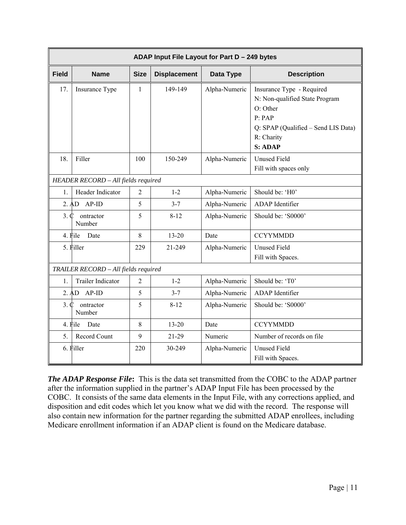|              | ADAP Input File Layout for Part D - 249 bytes |                |                     |               |                                                                                                                                                   |
|--------------|-----------------------------------------------|----------------|---------------------|---------------|---------------------------------------------------------------------------------------------------------------------------------------------------|
| <b>Field</b> | <b>Name</b>                                   | <b>Size</b>    | <b>Displacement</b> | Data Type     | <b>Description</b>                                                                                                                                |
| 17.          | Insurance Type                                | $\mathbf{1}$   | 149-149             | Alpha-Numeric | Insurance Type - Required<br>N: Non-qualified State Program<br>O: Other<br>P: PAP<br>Q: SPAP (Qualified – Send LIS Data)<br>R: Charity<br>S: ADAP |
| 18.          | Filler                                        | 100            | 150-249             | Alpha-Numeric | <b>Unused Field</b><br>Fill with spaces only                                                                                                      |
|              | HEADER RECORD - All fields required           |                |                     |               |                                                                                                                                                   |
| 1.           | Header Indicator                              | $\overline{2}$ | $1 - 2$             | Alpha-Numeric | Should be: 'H0'                                                                                                                                   |
|              | $2. AD AP-ID$                                 | 5              | $3 - 7$             | Alpha-Numeric | ADAP Identifier                                                                                                                                   |
| 3.0          | ontractor<br>Number                           | 5              | $8 - 12$            | Alpha-Numeric | Should be: 'S0000'                                                                                                                                |
|              | 4. File<br>Date                               | 8              | $13 - 20$           | Date          | <b>CCYYMMDD</b>                                                                                                                                   |
|              | 5. Filler                                     | 229            | 21-249              | Alpha-Numeric | <b>Unused Field</b><br>Fill with Spaces.                                                                                                          |
|              | TRAILER RECORD - All fields required          |                |                     |               |                                                                                                                                                   |
| 1.           | <b>Trailer Indicator</b>                      | 2              | $1 - 2$             | Alpha-Numeric | Should be: 'T0'                                                                                                                                   |
|              | $2. AD AP-ID$                                 | 5              | $3 - 7$             | Alpha-Numeric | ADAP Identifier                                                                                                                                   |
| 3. C         | ontractor<br>Number                           | 5              | $8 - 12$            | Alpha-Numeric | Should be: 'S0000'                                                                                                                                |
|              | 4. File<br>Date                               | 8              | $13 - 20$           | Date          | <b>CCYYMMDD</b>                                                                                                                                   |
| 5.           | Record Count                                  | 9              | $21-29$             | Numeric       | Number of records on file                                                                                                                         |
|              | 6. Filler                                     | 220            | 30-249              | Alpha-Numeric | <b>Unused Field</b><br>Fill with Spaces.                                                                                                          |

*The ADAP Response File***:** This is the data set transmitted from the COBC to the ADAP partner after the information supplied in the partner's ADAP Input File has been processed by the COBC. It consists of the same data elements in the Input File, with any corrections applied, and disposition and edit codes which let you know what we did with the record. The response will also contain new information for the partner regarding the submitted ADAP enrollees, including Medicare enrollment information if an ADAP client is found on the Medicare database.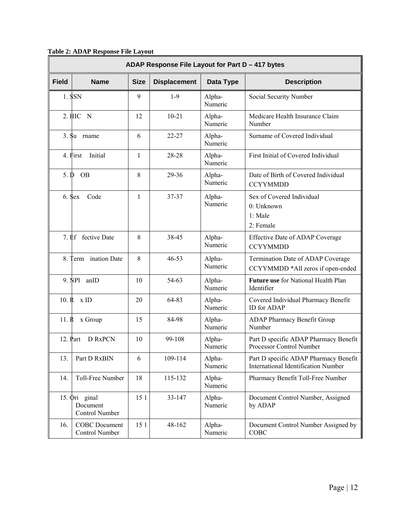**Table 2: ADAP Response File Layout** 

|                 | ADAP Response File Layout for Part D - 417 bytes |              |                     |                   |                                                                              |
|-----------------|--------------------------------------------------|--------------|---------------------|-------------------|------------------------------------------------------------------------------|
| <b>Field</b>    | <b>Name</b>                                      | <b>Size</b>  | <b>Displacement</b> | Data Type         | <b>Description</b>                                                           |
|                 | 1. SSN                                           | 9            | $1-9$               | Alpha-<br>Numeric | Social Security Number                                                       |
|                 | 2. HIC N                                         | 12           | $10 - 21$           | Alpha-<br>Numeric | Medicare Health Insurance Claim<br>Number                                    |
|                 | 3. Su mame                                       | 6            | $22 - 27$           | Alpha-<br>Numeric | Surname of Covered Individual                                                |
|                 | 4. First<br>Initial                              | $\mathbf{1}$ | 28-28               | Alpha-<br>Numeric | First Initial of Covered Individual                                          |
| 5. $\mathbf{D}$ | <b>OB</b>                                        | 8            | 29-36               | Alpha-<br>Numeric | Date of Birth of Covered Individual<br><b>CCYYMMDD</b>                       |
|                 | 6. Sex<br>Code                                   | $\mathbf{1}$ | $37 - 37$           | Alpha-<br>Numeric | Sex of Covered Individual<br>0: Unknown<br>1: Male<br>2: Female              |
|                 | 7. Ef fective Date                               | 8            | 38-45               | Alpha-<br>Numeric | Effective Date of ADAP Coverage<br><b>CCYYMMDD</b>                           |
| 8.              | Term ination Date                                | 8            | $46 - 53$           | Alpha-<br>Numeric | Termination Date of ADAP Coverage<br>CCYYMMDD *All zeros if open-ended       |
|                 | 9. NP1<br>anID                                   | 10           | 54-63               | Alpha-<br>Numeric | Future use for National Health Plan<br>Identifier                            |
|                 | $10. R \times ID$                                | 20           | 64-83               | Alpha-<br>Numeric | Covered Individual Pharmacy Benefit<br><b>ID</b> for ADAP                    |
|                 | 11. R x Group                                    | 15           | 84-98               | Alpha-<br>Numeric | <b>ADAP Pharmacy Benefit Group</b><br>Number                                 |
|                 | 12. Part<br>D RxPCN                              | 10           | 99-108              | Alpha-<br>Numeric | Part D specific ADAP Pharmacy Benefit<br>Processor Control Number            |
| 13.             | Part D RxBIN                                     | 6            | 109-114             | Alpha-<br>Numeric | Part D specific ADAP Pharmacy Benefit<br>International Identification Number |
| 14.             | Toll-Free Number                                 | 18           | 115-132             | Alpha-<br>Numeric | Pharmacy Benefit Toll-Free Number                                            |
|                 | 15. Ori ginal<br>Document<br>Control Number      | 15 1         | 33-147              | Alpha-<br>Numeric | Document Control Number, Assigned<br>by ADAP                                 |
| 16.             | <b>COBC</b> Document<br>Control Number           | 15 1         | 48-162              | Alpha-<br>Numeric | Document Control Number Assigned by<br>COBC                                  |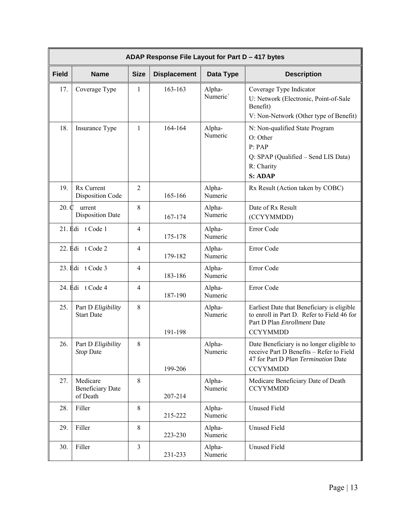|                  | ADAP Response File Layout for Part D - 417 bytes |                |                     |                    |                                                                                                                                                 |
|------------------|--------------------------------------------------|----------------|---------------------|--------------------|-------------------------------------------------------------------------------------------------------------------------------------------------|
| <b>Field</b>     | <b>Name</b>                                      | <b>Size</b>    | <b>Displacement</b> | Data Type          | <b>Description</b>                                                                                                                              |
| 17.              | Coverage Type                                    | 1              | 163-163             | Alpha-<br>Numeric' | Coverage Type Indicator<br>U: Network (Electronic, Point-of-Sale<br>Benefit)<br>V: Non-Network (Other type of Benefit)                          |
| 18.              | Insurance Type                                   | $\mathbf{1}$   | 164-164             | Alpha-<br>Numeric  | N: Non-qualified State Program<br>O: Other<br>P: PAP<br>Q: SPAP (Qualified – Send LIS Data)<br>R: Charity<br><b>S: ADAP</b>                     |
| 19.              | Rx Current<br><b>Disposition Code</b>            | $\overline{2}$ | 165-166             | Alpha-<br>Numeric  | Rx Result (Action taken by COBC)                                                                                                                |
| $20. \mathbb{C}$ | urrent<br><b>Disposition Date</b>                | 8              | 167-174             | Alpha-<br>Numeric  | Date of Rx Result<br>(CCYYMMDD)                                                                                                                 |
|                  | 21. Edi t Code 1                                 | $\overline{4}$ | 175-178             | Alpha-<br>Numeric  | Error Code                                                                                                                                      |
|                  | 22. Edi t Code 2                                 | $\overline{4}$ | 179-182             | Alpha-<br>Numeric  | Error Code                                                                                                                                      |
|                  | 23. Edi t Code 3                                 | $\overline{4}$ | 183-186             | Alpha-<br>Numeric  | Error Code                                                                                                                                      |
|                  | 24. Edi t Code 4                                 | $\overline{4}$ | 187-190             | Alpha-<br>Numeric  | Error Code                                                                                                                                      |
| 25.              | Part D Eligibility<br><b>Start Date</b>          | 8              | 191-198             | Alpha-<br>Numeric  | Earliest Date that Beneficiary is eligible<br>to enroll in Part D. Refer to Field 46 for<br>Part D Plan Enrollment Date<br><b>CCYYMMDD</b>      |
| 26.              | Part D Eligibility<br>Stop Date                  | 8              | 199-206             | Alpha-<br>Numeric  | Date Beneficiary is no longer eligible to<br>receive Part D Benefits - Refer to Field<br>47 for Part D Plan Termination Date<br><b>CCYYMMDD</b> |
| 27.              | Medicare<br><b>Beneficiary Date</b><br>of Death  | 8              | 207-214             | Alpha-<br>Numeric  | Medicare Beneficiary Date of Death<br><b>CCYYMMDD</b>                                                                                           |
| 28.              | Filler                                           | 8              | 215-222             | Alpha-<br>Numeric  | <b>Unused Field</b>                                                                                                                             |
| 29.              | Filler                                           | 8              | 223-230             | Alpha-<br>Numeric  | <b>Unused Field</b>                                                                                                                             |
| 30.              | Filler                                           | $\mathfrak{Z}$ | 231-233             | Alpha-<br>Numeric  | <b>Unused Field</b>                                                                                                                             |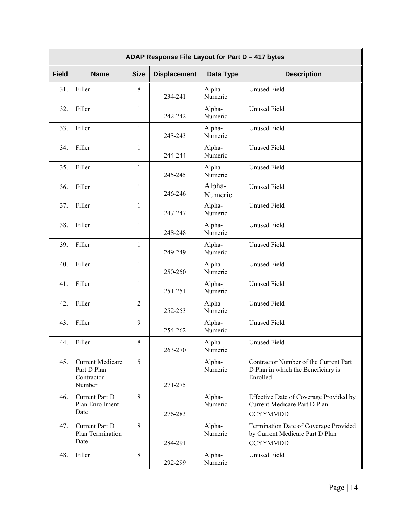|              | ADAP Response File Layout for Part D - 417 bytes               |                |                     |                   |                                                                                             |
|--------------|----------------------------------------------------------------|----------------|---------------------|-------------------|---------------------------------------------------------------------------------------------|
| <b>Field</b> | <b>Name</b>                                                    | <b>Size</b>    | <b>Displacement</b> | Data Type         | <b>Description</b>                                                                          |
| 31.          | Filler                                                         | 8              | 234-241             | Alpha-<br>Numeric | <b>Unused Field</b>                                                                         |
| 32.          | Filler                                                         | $\mathbf{1}$   | 242-242             | Alpha-<br>Numeric | <b>Unused Field</b>                                                                         |
| 33.          | Filler                                                         | $\mathbf{1}$   | 243-243             | Alpha-<br>Numeric | <b>Unused Field</b>                                                                         |
| 34.          | Filler                                                         | $\mathbf{1}$   | 244-244             | Alpha-<br>Numeric | <b>Unused Field</b>                                                                         |
| 35.          | Filler                                                         | $\mathbf{1}$   | 245-245             | Alpha-<br>Numeric | <b>Unused Field</b>                                                                         |
| 36.          | Filler                                                         | $\mathbf{1}$   | 246-246             | Alpha-<br>Numeric | <b>Unused Field</b>                                                                         |
| 37.          | Filler                                                         | $\mathbf{1}$   | 247-247             | Alpha-<br>Numeric | <b>Unused Field</b>                                                                         |
| 38.          | Filler                                                         | $\mathbf{1}$   | 248-248             | Alpha-<br>Numeric | <b>Unused Field</b>                                                                         |
| 39.          | Filler                                                         | $\mathbf{1}$   | 249-249             | Alpha-<br>Numeric | <b>Unused Field</b>                                                                         |
| 40.          | Filler                                                         | $\mathbf{1}$   | 250-250             | Alpha-<br>Numeric | <b>Unused Field</b>                                                                         |
| 41.          | Filler                                                         | $\mathbf{1}$   | 251-251             | Alpha-<br>Numeric | <b>Unused Field</b>                                                                         |
| 42.          | Filler                                                         | $\overline{2}$ | 252-253             | Alpha-<br>Numeric | <b>Unused Field</b>                                                                         |
| 43.          | Filler                                                         | 9              | 254-262             | Alpha-<br>Numeric | <b>Unused Field</b>                                                                         |
| 44.          | Filler                                                         | 8              | 263-270             | Alpha-<br>Numeric | <b>Unused Field</b>                                                                         |
| 45.          | <b>Current Medicare</b><br>Part D Plan<br>Contractor<br>Number | 5              | 271-275             | Alpha-<br>Numeric | Contractor Number of the Current Part<br>D Plan in which the Beneficiary is<br>Enrolled     |
| 46.          | Current Part D<br>Plan Enrollment<br>Date                      | 8              | 276-283             | Alpha-<br>Numeric | Effective Date of Coverage Provided by<br>Current Medicare Part D Plan<br><b>CCYYMMDD</b>   |
| 47.          | Current Part D<br>Plan Termination<br>Date                     | 8              | 284-291             | Alpha-<br>Numeric | Termination Date of Coverage Provided<br>by Current Medicare Part D Plan<br><b>CCYYMMDD</b> |
| 48.          | Filler                                                         | $\,8\,$        | 292-299             | Alpha-<br>Numeric | <b>Unused Field</b>                                                                         |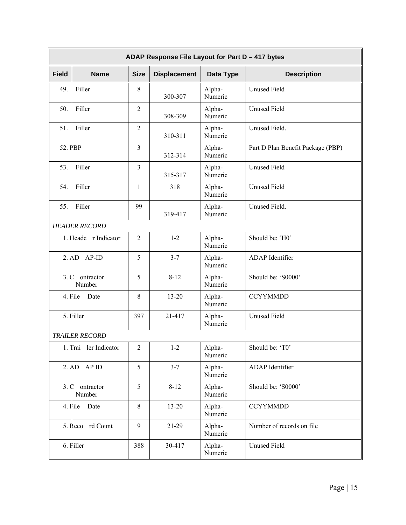|                    | ADAP Response File Layout for Part D - 417 bytes |                |                     |                   |                                   |
|--------------------|--------------------------------------------------|----------------|---------------------|-------------------|-----------------------------------|
| <b>Field</b>       | <b>Name</b>                                      | <b>Size</b>    | <b>Displacement</b> | Data Type         | <b>Description</b>                |
| 49.                | Filler                                           | $\,$ 8 $\,$    | 300-307             | Alpha-<br>Numeric | <b>Unused Field</b>               |
| 50.                | Filler                                           | $\overline{2}$ | 308-309             | Alpha-<br>Numeric | <b>Unused Field</b>               |
| 51.                | Filler                                           | $\overline{2}$ | 310-311             | Alpha-<br>Numeric | Unused Field.                     |
| 52. PBP            |                                                  | $\overline{3}$ | 312-314             | Alpha-<br>Numeric | Part D Plan Benefit Package (PBP) |
| 53.                | Filler                                           | $\overline{3}$ | 315-317             | Alpha-<br>Numeric | <b>Unused Field</b>               |
| 54.                | Filler                                           | $\mathbf{1}$   | 318                 | Alpha-<br>Numeric | <b>Unused Field</b>               |
| 55.                | Filler                                           | 99             | 319-417             | Alpha-<br>Numeric | Unused Field.                     |
|                    | <b>HEADER RECORD</b>                             |                |                     |                   |                                   |
|                    | 1. Heade r Indicator                             | $\overline{2}$ | $1 - 2$             | Alpha-<br>Numeric | Should be: 'H0'                   |
|                    | 2. AD<br>$AP-ID$                                 | 5              | $3 - 7$             | Alpha-<br>Numeric | ADAP Identifier                   |
| 3.0                | ontractor<br>Number                              | 5              | $8 - 12$            | Alpha-<br>Numeric | Should be: 'S0000'                |
|                    | 4. File<br>Date                                  | 8              | $13 - 20$           | Alpha-<br>Numeric | <b>CCYYMMDD</b>                   |
|                    | 5. Filler                                        | 397            | 21-417              | Alpha-<br>Numeric | <b>Unused Field</b>               |
|                    | <b>TRAILER RECORD</b>                            |                |                     |                   |                                   |
|                    | 1. Trai ler Indicator                            | $\overline{2}$ | $1 - 2$             | Alpha-<br>Numeric | Should be: 'T0'                   |
|                    | $2. AD$ AP ID                                    | 5              | $3 - 7$             | Alpha-<br>Numeric | ADAP Identifier                   |
| $3. \, \mathbb{C}$ | ontractor<br>Number                              | 5              | $8 - 12$            | Alpha-<br>Numeric | Should be: 'S0000'                |
|                    | 4. File<br>Date                                  | 8              | $13 - 20$           | Alpha-<br>Numeric | <b>CCYYMMDD</b>                   |
|                    | 5. Reco rd Count                                 | 9              | 21-29               | Alpha-<br>Numeric | Number of records on file         |
|                    | 6. Filler                                        | 388            | 30-417              | Alpha-<br>Numeric | <b>Unused Field</b>               |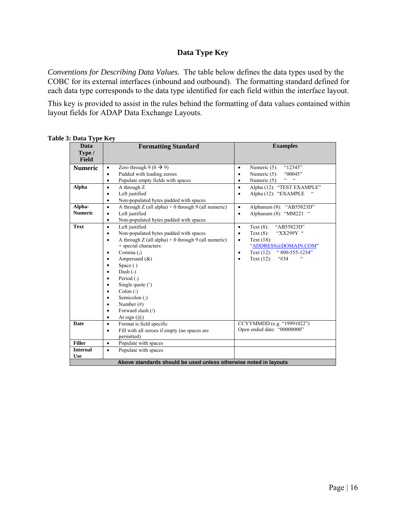# **Data Type Key**

*Conventions for Describing Data Values.* The table below defines the data types used by the COBC for its external interfaces (inbound and outbound). The formatting standard defined for each data type corresponds to the data type identified for each field within the interface layout.

This key is provided to assist in the rules behind the formatting of data values contained within layout fields for ADAP Data Exchange Layouts.

| Table 3: Data Type Key |  |  |  |
|------------------------|--|--|--|
|------------------------|--|--|--|

| Data            | <b>Formatting Standard</b>                                         | <b>Examples</b>                                                 |
|-----------------|--------------------------------------------------------------------|-----------------------------------------------------------------|
| Type /          |                                                                    |                                                                 |
| <b>Field</b>    |                                                                    |                                                                 |
| <b>Numeric</b>  | Zero through $9(0 \rightarrow 9)$<br>$\bullet$                     | "12345"<br>Numeric $(5)$ :<br>$\bullet$                         |
|                 | Padded with leading zeroes<br>$\bullet$                            | Numeric (5):<br>"00045"<br>$\bullet$                            |
|                 | Populate empty fields with spaces<br>$\bullet$                     | $\epsilon$ $\epsilon$<br>$\zeta\,\zeta$<br>Numeric $(5)$ :<br>٠ |
| <b>Alpha</b>    | A through Z<br>$\bullet$                                           | Alpha (12): "TEST EXAMPLE"<br>$\bullet$                         |
|                 | Left justified<br>$\bullet$                                        | Alpha (12): "EXAMPLE<br>$\bullet$                               |
|                 | Non-populated bytes padded with spaces<br>$\bullet$                |                                                                 |
| Alpha-          | A through $Z$ (all alpha) + 0 through 9 (all numeric)<br>$\bullet$ | Alphanum (8): "AB55823D"<br>$\bullet$                           |
| <b>Numeric</b>  | Left justified<br>$\bullet$                                        | Alphanum $(8)$ : "MM221<br>$\bullet$                            |
|                 | Non-populated bytes padded with spaces<br>$\bullet$                |                                                                 |
| <b>Text</b>     | Left justified<br>$\bullet$                                        | "AB55823D"<br>Text $(8)$ :<br>$\bullet$                         |
|                 | Non-populated bytes padded with spaces<br>$\bullet$                | "XX299Y"<br>Text $(8)$ :<br>$\bullet$                           |
|                 | A through $Z$ (all alpha) + 0 through 9 (all numeric)<br>$\bullet$ | Text $(18)$ :<br>$\bullet$                                      |
|                 | + special characters:                                              | "ADDRESS@DOMAIN.COM"                                            |
|                 | Comma $(.)$<br>٠                                                   | Text (12): "800-555-1234"<br>$\bullet$                          |
|                 | Ampersand $(\&)$<br>$\bullet$                                      | $\epsilon$<br>Text $(12)$ :<br>4434                             |
|                 | Space ()<br>٠                                                      |                                                                 |
|                 | Dash $(-)$<br>$\bullet$                                            |                                                                 |
|                 | Period (.)<br>$\bullet$                                            |                                                                 |
|                 | Single quote (')<br>$\bullet$                                      |                                                                 |
|                 | $\text{Colon}$ $\left($ :)<br>$\bullet$                            |                                                                 |
|                 | Semicolon (;)<br>$\bullet$                                         |                                                                 |
|                 | Number $(\#)$<br>$\bullet$                                         |                                                                 |
|                 | Forward slash (/)<br>$\bullet$                                     |                                                                 |
|                 | At sign $(a)$<br>$\bullet$                                         |                                                                 |
| <b>Date</b>     | Format is field specific<br>$\bullet$                              | CCYYMMDD (e.g. "19991022")                                      |
|                 | Fill with all zeroes if empty (no spaces are<br>$\bullet$          | Open ended date: "00000000"                                     |
|                 | permitted)                                                         |                                                                 |
| <b>Filler</b>   | Populate with spaces<br>$\bullet$                                  |                                                                 |
| <b>Internal</b> | Populate with spaces<br>$\bullet$                                  |                                                                 |
| <b>Use</b>      |                                                                    |                                                                 |
|                 | Above standards should be used unless otherwise noted in layouts   |                                                                 |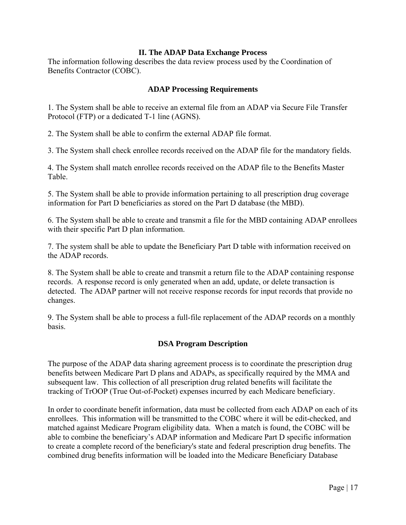### **II. The ADAP Data Exchange Process**

The information following describes the data review process used by the Coordination of Benefits Contractor (COBC).

## **ADAP Processing Requirements**

1. The System shall be able to receive an external file from an ADAP via Secure File Transfer Protocol (FTP) or a dedicated T-1 line (AGNS).

2. The System shall be able to confirm the external ADAP file format.

3. The System shall check enrollee records received on the ADAP file for the mandatory fields.

4. The System shall match enrollee records received on the ADAP file to the Benefits Master Table.

5. The System shall be able to provide information pertaining to all prescription drug coverage information for Part D beneficiaries as stored on the Part D database (the MBD).

6. The System shall be able to create and transmit a file for the MBD containing ADAP enrollees with their specific Part D plan information.

7. The system shall be able to update the Beneficiary Part D table with information received on the ADAP records.

8. The System shall be able to create and transmit a return file to the ADAP containing response records. A response record is only generated when an add, update, or delete transaction is detected. The ADAP partner will not receive response records for input records that provide no changes.

9. The System shall be able to process a full-file replacement of the ADAP records on a monthly basis.

# **DSA Program Description**

The purpose of the ADAP data sharing agreement process is to coordinate the prescription drug benefits between Medicare Part D plans and ADAPs, as specifically required by the MMA and subsequent law. This collection of all prescription drug related benefits will facilitate the tracking of TrOOP (True Out-of-Pocket) expenses incurred by each Medicare beneficiary.

In order to coordinate benefit information, data must be collected from each ADAP on each of its enrollees. This information will be transmitted to the COBC where it will be edit-checked, and matched against Medicare Program eligibility data. When a match is found, the COBC will be able to combine the beneficiary's ADAP information and Medicare Part D specific information to create a complete record of the beneficiary's state and federal prescription drug benefits. The combined drug benefits information will be loaded into the Medicare Beneficiary Database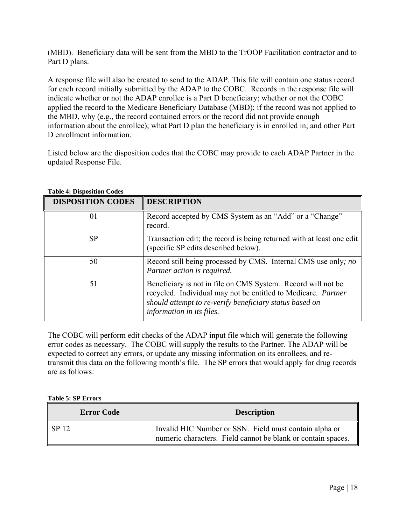(MBD). Beneficiary data will be sent from the MBD to the TrOOP Facilitation contractor and to Part D plans.

A response file will also be created to send to the ADAP. This file will contain one status record for each record initially submitted by the ADAP to the COBC. Records in the response file will indicate whether or not the ADAP enrollee is a Part D beneficiary; whether or not the COBC applied the record to the Medicare Beneficiary Database (MBD); if the record was not applied to the MBD, why (e.g., the record contained errors or the record did not provide enough information about the enrollee); what Part D plan the beneficiary is in enrolled in; and other Part D enrollment information.

Listed below are the disposition codes that the COBC may provide to each ADAP Partner in the updated Response File.

| Table 4: Disposition Codes |                                                                                                                                                                                                                        |
|----------------------------|------------------------------------------------------------------------------------------------------------------------------------------------------------------------------------------------------------------------|
| <b>DISPOSITION CODES</b>   | <b>DESCRIPTION</b>                                                                                                                                                                                                     |
| 01                         | Record accepted by CMS System as an "Add" or a "Change"<br>record.                                                                                                                                                     |
| SP                         | Transaction edit; the record is being returned with at least one edit<br>(specific SP edits described below).                                                                                                          |
| 50                         | Record still being processed by CMS. Internal CMS use only; no<br>Partner action is required.                                                                                                                          |
| 51                         | Beneficiary is not in file on CMS System. Record will not be.<br>recycled. Individual may not be entitled to Medicare. Partner<br>should attempt to re-verify beneficiary status based on<br>information in its files. |

#### **Table 4: Disposition Codes**

The COBC will perform edit checks of the ADAP input file which will generate the following error codes as necessary. The COBC will supply the results to the Partner. The ADAP will be expected to correct any errors, or update any missing information on its enrollees, and retransmit this data on the following month's file. The SP errors that would apply for drug records are as follows:

#### **Table 5: SP Errors**

| <b>Error Code</b> | <b>Description</b>                                                                                                     |
|-------------------|------------------------------------------------------------------------------------------------------------------------|
| SP 12             | Invalid HIC Number or SSN. Field must contain alpha or<br>numeric characters. Field cannot be blank or contain spaces. |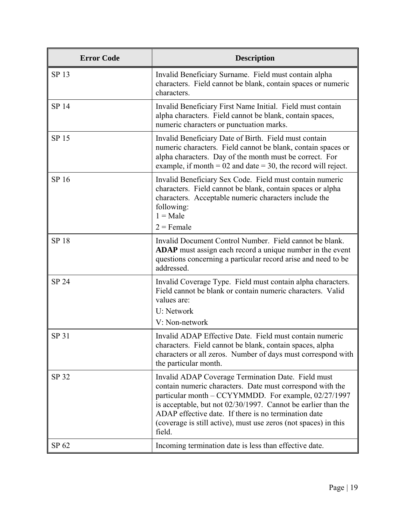| <b>Error Code</b> | <b>Description</b>                                                                                                                                                                                                                                                                                                                                                            |
|-------------------|-------------------------------------------------------------------------------------------------------------------------------------------------------------------------------------------------------------------------------------------------------------------------------------------------------------------------------------------------------------------------------|
| SP 13             | Invalid Beneficiary Surname. Field must contain alpha<br>characters. Field cannot be blank, contain spaces or numeric<br>characters.                                                                                                                                                                                                                                          |
| SP 14             | Invalid Beneficiary First Name Initial. Field must contain<br>alpha characters. Field cannot be blank, contain spaces,<br>numeric characters or punctuation marks.                                                                                                                                                                                                            |
| SP 15             | Invalid Beneficiary Date of Birth. Field must contain<br>numeric characters. Field cannot be blank, contain spaces or<br>alpha characters. Day of the month must be correct. For<br>example, if month = $02$ and date = $30$ , the record will reject.                                                                                                                        |
| SP 16             | Invalid Beneficiary Sex Code. Field must contain numeric<br>characters. Field cannot be blank, contain spaces or alpha<br>characters. Acceptable numeric characters include the<br>following:<br>$1 = Male$<br>$2$ = Female                                                                                                                                                   |
| <b>SP18</b>       | Invalid Document Control Number. Field cannot be blank.<br>ADAP must assign each record a unique number in the event<br>questions concerning a particular record arise and need to be<br>addressed.                                                                                                                                                                           |
| <b>SP 24</b>      | Invalid Coverage Type. Field must contain alpha characters.<br>Field cannot be blank or contain numeric characters. Valid<br>values are:<br>U: Network<br>V: Non-network                                                                                                                                                                                                      |
| SP 31             | Invalid ADAP Effective Date. Field must contain numeric<br>characters. Field cannot be blank, contain spaces, alpha<br>characters or all zeros. Number of days must correspond with<br>the particular month.                                                                                                                                                                  |
| SP 32             | Invalid ADAP Coverage Termination Date. Field must<br>contain numeric characters. Date must correspond with the<br>particular month – CCYYMMDD. For example, 02/27/1997<br>is acceptable, but not 02/30/1997. Cannot be earlier than the<br>ADAP effective date. If there is no termination date<br>(coverage is still active), must use zeros (not spaces) in this<br>field. |
| SP 62             | Incoming termination date is less than effective date.                                                                                                                                                                                                                                                                                                                        |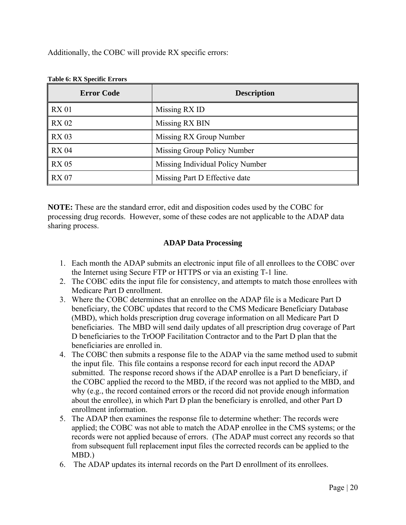Additionally, the COBC will provide RX specific errors:

| <b>Error Code</b> | <b>Description</b>               |
|-------------------|----------------------------------|
| <b>RX 01</b>      | Missing RX ID                    |
| <b>RX 02</b>      | Missing RX BIN                   |
| <b>RX 03</b>      | Missing RX Group Number          |
| <b>RX 04</b>      | Missing Group Policy Number      |
| <b>RX 05</b>      | Missing Individual Policy Number |
| <b>RX 07</b>      | Missing Part D Effective date    |

## **Table 6: RX Specific Errors**

**NOTE:** These are the standard error, edit and disposition codes used by the COBC for processing drug records. However, some of these codes are not applicable to the ADAP data sharing process.

# **ADAP Data Processing**

- 1. Each month the ADAP submits an electronic input file of all enrollees to the COBC over the Internet using Secure FTP or HTTPS or via an existing T-1 line.
- 2. The COBC edits the input file for consistency, and attempts to match those enrollees with Medicare Part D enrollment.
- 3. Where the COBC determines that an enrollee on the ADAP file is a Medicare Part D beneficiary, the COBC updates that record to the CMS Medicare Beneficiary Database (MBD), which holds prescription drug coverage information on all Medicare Part D beneficiaries. The MBD will send daily updates of all prescription drug coverage of Part D beneficiaries to the TrOOP Facilitation Contractor and to the Part D plan that the beneficiaries are enrolled in.
- 4. The COBC then submits a response file to the ADAP via the same method used to submit the input file. This file contains a response record for each input record the ADAP submitted. The response record shows if the ADAP enrollee is a Part D beneficiary, if the COBC applied the record to the MBD, if the record was not applied to the MBD, and why (e.g., the record contained errors or the record did not provide enough information about the enrollee), in which Part D plan the beneficiary is enrolled, and other Part D enrollment information.
- 5. The ADAP then examines the response file to determine whether: The records were applied; the COBC was not able to match the ADAP enrollee in the CMS systems; or the records were not applied because of errors. (The ADAP must correct any records so that from subsequent full replacement input files the corrected records can be applied to the MBD.)
- 6. The ADAP updates its internal records on the Part D enrollment of its enrollees.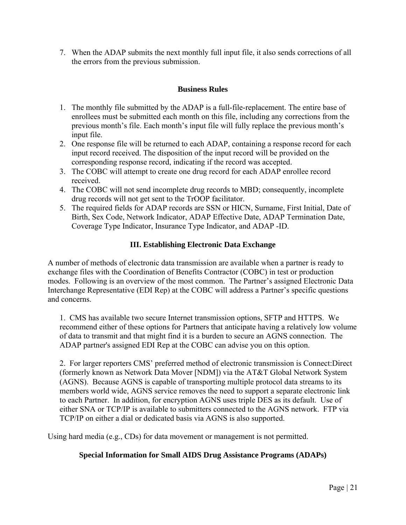7. When the ADAP submits the next monthly full input file, it also sends corrections of all the errors from the previous submission.

# **Business Rules**

- 1. The monthly file submitted by the ADAP is a full-file-replacement. The entire base of enrollees must be submitted each month on this file, including any corrections from the previous month's file. Each month's input file will fully replace the previous month's input file.
- 2. One response file will be returned to each ADAP, containing a response record for each input record received. The disposition of the input record will be provided on the corresponding response record, indicating if the record was accepted.
- 3. The COBC will attempt to create one drug record for each ADAP enrollee record received.
- 4. The COBC will not send incomplete drug records to MBD; consequently, incomplete drug records will not get sent to the TrOOP facilitator.
- 5. The required fields for ADAP records are SSN or HICN, Surname, First Initial, Date of Birth, Sex Code, Network Indicator, ADAP Effective Date, ADAP Termination Date, Coverage Type Indicator, Insurance Type Indicator, and ADAP -ID.

# **III. Establishing Electronic Data Exchange**

A number of methods of electronic data transmission are available when a partner is ready to exchange files with the Coordination of Benefits Contractor (COBC) in test or production modes. Following is an overview of the most common. The Partner's assigned Electronic Data Interchange Representative (EDI Rep) at the COBC will address a Partner's specific questions and concerns.

1. CMS has available two secure Internet transmission options, SFTP and HTTPS. We recommend either of these options for Partners that anticipate having a relatively low volume of data to transmit and that might find it is a burden to secure an AGNS connection. The ADAP partner's assigned EDI Rep at the COBC can advise you on this option.

2. For larger reporters CMS' preferred method of electronic transmission is Connect:Direct (formerly known as Network Data Mover [NDM]) via the AT&T Global Network System (AGNS). Because AGNS is capable of transporting multiple protocol data streams to its members world wide, AGNS service removes the need to support a separate electronic link to each Partner. In addition, for encryption AGNS uses triple DES as its default. Use of either SNA or TCP/IP is available to submitters connected to the AGNS network. FTP via TCP/IP on either a dial or dedicated basis via AGNS is also supported.

Using hard media (e.g., CDs) for data movement or management is not permitted.

# **Special Information for Small AIDS Drug Assistance Programs (ADAPs)**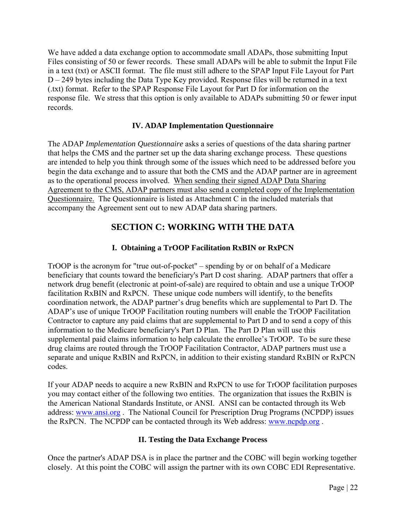We have added a data exchange option to accommodate small ADAPs, those submitting Input Files consisting of 50 or fewer records. These small ADAPs will be able to submit the Input File in a text (txt) or ASCII format. The file must still adhere to the SPAP Input File Layout for Part D – 249 bytes including the Data Type Key provided. Response files will be returned in a text (.txt) format. Refer to the SPAP Response File Layout for Part D for information on the response file. We stress that this option is only available to ADAPs submitting 50 or fewer input records.

# **IV. ADAP Implementation Questionnaire**

The ADAP *Implementation Questionnaire* asks a series of questions of the data sharing partner that helps the CMS and the partner set up the data sharing exchange process. These questions are intended to help you think through some of the issues which need to be addressed before you begin the data exchange and to assure that both the CMS and the ADAP partner are in agreement as to the operational process involved. When sending their signed ADAP Data Sharing Agreement to the CMS, ADAP partners must also send a completed copy of the Implementation Questionnaire. The Questionnaire is listed as Attachment C in the included materials that accompany the Agreement sent out to new ADAP data sharing partners.

# **SECTION C: WORKING WITH THE DATA**

# **I. Obtaining a TrOOP Facilitation RxBIN or RxPCN**

TrOOP is the acronym for "true out-of-pocket" – spending by or on behalf of a Medicare beneficiary that counts toward the beneficiary's Part D cost sharing. ADAP partners that offer a network drug benefit (electronic at point-of-sale) are required to obtain and use a unique TrOOP facilitation RxBIN and RxPCN. These unique code numbers will identify, to the benefits coordination network, the ADAP partner's drug benefits which are supplemental to Part D. The ADAP's use of unique TrOOP Facilitation routing numbers will enable the TrOOP Facilitation Contractor to capture any paid claims that are supplemental to Part D and to send a copy of this information to the Medicare beneficiary's Part D Plan. The Part D Plan will use this supplemental paid claims information to help calculate the enrollee's TrOOP. To be sure these drug claims are routed through the TrOOP Facilitation Contractor, ADAP partners must use a separate and unique RxBIN and RxPCN, in addition to their existing standard RxBIN or RxPCN codes.

If your ADAP needs to acquire a new RxBIN and RxPCN to use for TrOOP facilitation purposes you may contact either of the following two entities. The organization that issues the RxBIN is the American National Standards Institute, or ANSI. ANSI can be contacted through its Web address: www.ansi.org . The National Council for Prescription Drug Programs (NCPDP) issues the RxPCN. The NCPDP can be contacted through its Web address: www.ncpdp.org .

# **II. Testing the Data Exchange Process**

Once the partner's ADAP DSA is in place the partner and the COBC will begin working together closely. At this point the COBC will assign the partner with its own COBC EDI Representative.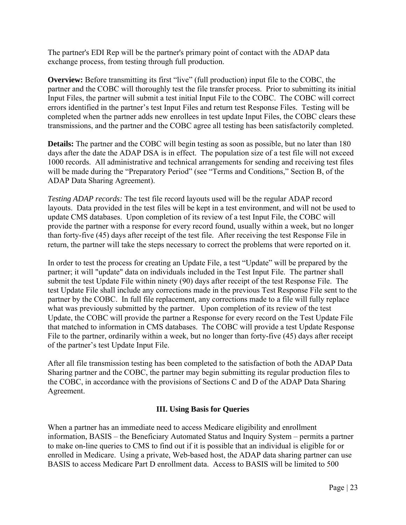The partner's EDI Rep will be the partner's primary point of contact with the ADAP data exchange process, from testing through full production.

**Overview:** Before transmitting its first "live" (full production) input file to the COBC, the partner and the COBC will thoroughly test the file transfer process. Prior to submitting its initial Input Files, the partner will submit a test initial Input File to the COBC. The COBC will correct errors identified in the partner's test Input Files and return test Response Files. Testing will be completed when the partner adds new enrollees in test update Input Files, the COBC clears these transmissions, and the partner and the COBC agree all testing has been satisfactorily completed.

**Details:** The partner and the COBC will begin testing as soon as possible, but no later than 180 days after the date the ADAP DSA is in effect. The population size of a test file will not exceed 1000 records. All administrative and technical arrangements for sending and receiving test files will be made during the "Preparatory Period" (see "Terms and Conditions," Section B, of the ADAP Data Sharing Agreement).

*Testing ADAP records:* The test file record layouts used will be the regular ADAP record layouts. Data provided in the test files will be kept in a test environment, and will not be used to update CMS databases. Upon completion of its review of a test Input File, the COBC will provide the partner with a response for every record found, usually within a week, but no longer than forty-five (45) days after receipt of the test file. After receiving the test Response File in return, the partner will take the steps necessary to correct the problems that were reported on it.

In order to test the process for creating an Update File, a test "Update" will be prepared by the partner; it will "update" data on individuals included in the Test Input File. The partner shall submit the test Update File within ninety (90) days after receipt of the test Response File. The test Update File shall include any corrections made in the previous Test Response File sent to the partner by the COBC. In full file replacement, any corrections made to a file will fully replace what was previously submitted by the partner. Upon completion of its review of the test Update, the COBC will provide the partner a Response for every record on the Test Update File that matched to information in CMS databases. The COBC will provide a test Update Response File to the partner, ordinarily within a week, but no longer than forty-five (45) days after receipt of the partner's test Update Input File.

After all file transmission testing has been completed to the satisfaction of both the ADAP Data Sharing partner and the COBC, the partner may begin submitting its regular production files to the COBC, in accordance with the provisions of Sections C and D of the ADAP Data Sharing Agreement.

# **III. Using Basis for Queries**

When a partner has an immediate need to access Medicare eligibility and enrollment information, BASIS – the Beneficiary Automated Status and Inquiry System – permits a partner to make on-line queries to CMS to find out if it is possible that an individual is eligible for or enrolled in Medicare. Using a private, Web-based host, the ADAP data sharing partner can use BASIS to access Medicare Part D enrollment data. Access to BASIS will be limited to 500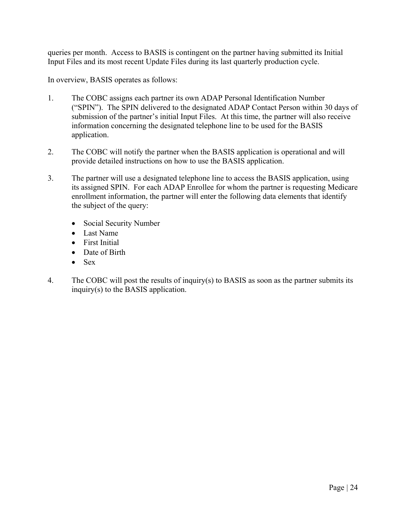queries per month. Access to BASIS is contingent on the partner having submitted its Initial Input Files and its most recent Update Files during its last quarterly production cycle.

In overview, BASIS operates as follows:

- 1. The COBC assigns each partner its own ADAP Personal Identification Number ("SPIN"). The SPIN delivered to the designated ADAP Contact Person within 30 days of submission of the partner's initial Input Files. At this time, the partner will also receive information concerning the designated telephone line to be used for the BASIS application.
- 2. The COBC will notify the partner when the BASIS application is operational and will provide detailed instructions on how to use the BASIS application.
- 3. The partner will use a designated telephone line to access the BASIS application, using its assigned SPIN. For each ADAP Enrollee for whom the partner is requesting Medicare enrollment information, the partner will enter the following data elements that identify the subject of the query:
	- Social Security Number
	- Last Name
	- First Initial
	- Date of Birth
	- $\bullet$  Sex
- 4. The COBC will post the results of inquiry(s) to BASIS as soon as the partner submits its inquiry(s) to the BASIS application.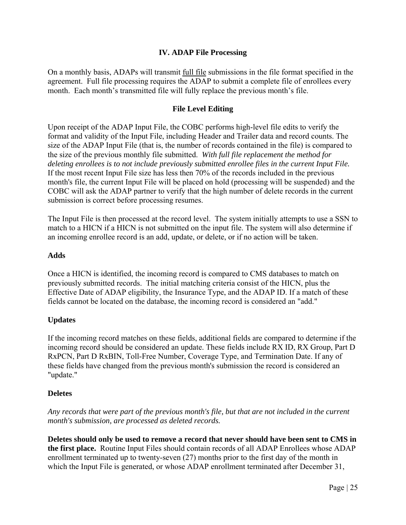# **IV. ADAP File Processing**

On a monthly basis, ADAPs will transmit full file submissions in the file format specified in the agreement. Full file processing requires the ADAP to submit a complete file of enrollees every month. Each month's transmitted file will fully replace the previous month's file.

## **File Level Editing**

Upon receipt of the ADAP Input File, the COBC performs high-level file edits to verify the format and validity of the Input File, including Header and Trailer data and record counts. The size of the ADAP Input File (that is, the number of records contained in the file) is compared to the size of the previous monthly file submitted. *With full file replacement the method for deleting enrollees is to not include previously submitted enrollee files in the current Input File.*  If the most recent Input File size has less then 70% of the records included in the previous month's file, the current Input File will be placed on hold (processing will be suspended) and the COBC will ask the ADAP partner to verify that the high number of delete records in the current submission is correct before processing resumes.

The Input File is then processed at the record level. The system initially attempts to use a SSN to match to a HICN if a HICN is not submitted on the input file. The system will also determine if an incoming enrollee record is an add, update, or delete, or if no action will be taken.

# **Adds**

Once a HICN is identified, the incoming record is compared to CMS databases to match on previously submitted records. The initial matching criteria consist of the HICN, plus the Effective Date of ADAP eligibility, the Insurance Type, and the ADAP ID. If a match of these fields cannot be located on the database, the incoming record is considered an "add."

# **Updates**

If the incoming record matches on these fields, additional fields are compared to determine if the incoming record should be considered an update. These fields include RX ID, RX Group, Part D RxPCN, Part D RxBIN, Toll-Free Number, Coverage Type, and Termination Date. If any of these fields have changed from the previous month's submission the record is considered an "update."

# **Deletes**

*Any records that were part of the previous month's file, but that are not included in the current month's submission, are processed as deleted records.* 

**Deletes should only be used to remove a record that never should have been sent to CMS in the first place.** Routine Input Files should contain records of all ADAP Enrollees whose ADAP enrollment terminated up to twenty-seven (27) months prior to the first day of the month in which the Input File is generated, or whose ADAP enrollment terminated after December 31,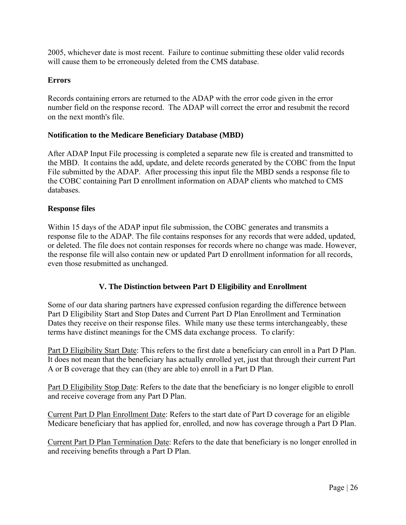2005, whichever date is most recent. Failure to continue submitting these older valid records will cause them to be erroneously deleted from the CMS database.

# **Errors**

Records containing errors are returned to the ADAP with the error code given in the error number field on the response record. The ADAP will correct the error and resubmit the record on the next month's file.

# **Notification to the Medicare Beneficiary Database (MBD)**

After ADAP Input File processing is completed a separate new file is created and transmitted to the MBD. It contains the add, update, and delete records generated by the COBC from the Input File submitted by the ADAP. After processing this input file the MBD sends a response file to the COBC containing Part D enrollment information on ADAP clients who matched to CMS databases.

#### **Response files**

Within 15 days of the ADAP input file submission, the COBC generates and transmits a response file to the ADAP. The file contains responses for any records that were added, updated, or deleted. The file does not contain responses for records where no change was made. However, the response file will also contain new or updated Part D enrollment information for all records, even those resubmitted as unchanged.

# **V. The Distinction between Part D Eligibility and Enrollment**

Some of our data sharing partners have expressed confusion regarding the difference between Part D Eligibility Start and Stop Dates and Current Part D Plan Enrollment and Termination Dates they receive on their response files. While many use these terms interchangeably, these terms have distinct meanings for the CMS data exchange process. To clarify:

Part D Eligibility Start Date: This refers to the first date a beneficiary can enroll in a Part D Plan. It does not mean that the beneficiary has actually enrolled yet, just that through their current Part A or B coverage that they can (they are able to) enroll in a Part D Plan.

Part D Eligibility Stop Date: Refers to the date that the beneficiary is no longer eligible to enroll and receive coverage from any Part D Plan.

Current Part D Plan Enrollment Date: Refers to the start date of Part D coverage for an eligible Medicare beneficiary that has applied for, enrolled, and now has coverage through a Part D Plan.

Current Part D Plan Termination Date: Refers to the date that beneficiary is no longer enrolled in and receiving benefits through a Part D Plan.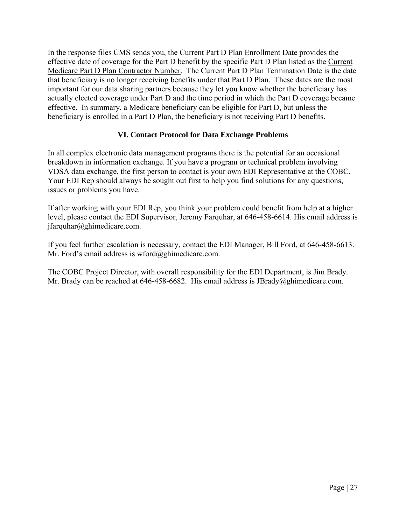In the response files CMS sends you, the Current Part D Plan Enrollment Date provides the effective date of coverage for the Part D benefit by the specific Part D Plan listed as the Current Medicare Part D Plan Contractor Number. The Current Part D Plan Termination Date is the date that beneficiary is no longer receiving benefits under that Part D Plan. These dates are the most important for our data sharing partners because they let you know whether the beneficiary has actually elected coverage under Part D and the time period in which the Part D coverage became effective. In summary, a Medicare beneficiary can be eligible for Part D, but unless the beneficiary is enrolled in a Part D Plan, the beneficiary is not receiving Part D benefits.

# **VI. Contact Protocol for Data Exchange Problems**

In all complex electronic data management programs there is the potential for an occasional breakdown in information exchange. If you have a program or technical problem involving VDSA data exchange, the first person to contact is your own EDI Representative at the COBC. Your EDI Rep should always be sought out first to help you find solutions for any questions, issues or problems you have.

 $if a *q*$  and  $a$  ghimedicare.com. If after working with your EDI Rep, you think your problem could benefit from help at a higher level, please contact the EDI Supervisor, Jeremy Farquhar, at 646-458-6614. His email address is

Mr. Ford's email address is wford@ghimedicare.com. If you feel further escalation is necessary, contact the EDI Manager, Bill Ford, at 646-458-6613.

The COBC Project Director, with overall responsibility for the EDI Department, is Jim Brady. Mr. Brady can be reached at 646-458-6682. His email address is JBrady@ghimedicare.com.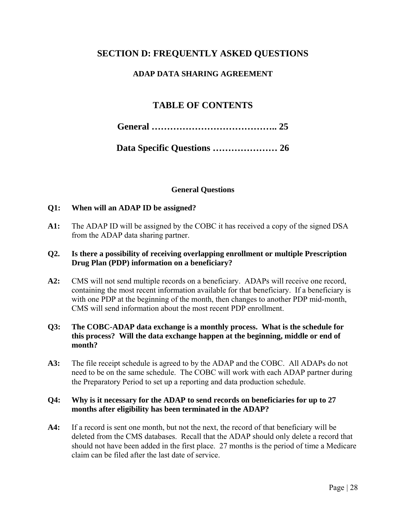# **SECTION D: FREQUENTLY ASKED QUESTIONS**

# **ADAP DATA SHARING AGREEMENT**

# **TABLE OF CONTENTS**

|--|--|

|--|--|--|--|--|

# **General Questions**

# **Q1: When will an ADAP ID be assigned?**

**A1:** The ADAP ID will be assigned by the COBC it has received a copy of the signed DSA from the ADAP data sharing partner.

# **Q2. Is there a possibility of receiving overlapping enrollment or multiple Prescription Drug Plan (PDP) information on a beneficiary?**

A2: CMS will not send multiple records on a beneficiary. ADAPs will receive one record, containing the most recent information available for that beneficiary. If a beneficiary is with one PDP at the beginning of the month, then changes to another PDP mid-month, CMS will send information about the most recent PDP enrollment.

# **Q3: The COBC-ADAP data exchange is a monthly process. What is the schedule for this process? Will the data exchange happen at the beginning, middle or end of month?**

A3: The file receipt schedule is agreed to by the ADAP and the COBC. All ADAPs do not  need to be on the same schedule. The COBC will work with each ADAP partner during the Preparatory Period to set up a reporting and data production schedule.

# months after eligibility has been terminated in the ADAP? **Q4: Why is it necessary for the ADAP to send records on beneficiaries for up to 27**

**A4:** If a record is sent one month, but not the next, the record of that beneficiary will be deleted from the CMS databases. Recall that the ADAP should only delete a record that should not have been added in the first place. 27 months is the period of time a Medicare claim can be filed after the last date of service.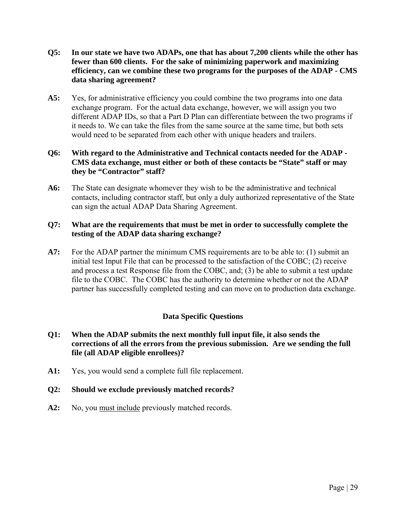- **Q5: In our state we have two ADAPs, one that has about 7,200 clients while the other has fewer than 600 clients. For the sake of minimizing paperwork and maximizing efficiency, can we combine these two programs for the purposes of the ADAP - CMS data sharing agreement?**
- different ADAP IDs, so that a Part D Plan can differentiate between the two programs if A5: Yes, for administrative efficiency you could combine the two programs into one data exchange program. For the actual data exchange, however, we will assign you two it needs to. We can take the files from the same source at the same time, but both sets would need to be separated from each other with unique headers and trailers.

# they be "Contractor" staff? **Q6: With regard to the Administrative and Technical contacts needed for the ADAP - CMS data exchange, must either or both of these contacts be "State" staff or may**

can sign the actual ADAP Data Sharing Agreement. **the State can designate whomever they wish to be the administrative and technical** contacts, including contractor staff, but only a duly authorized representative of the State

# **Q7: What are the requirements that must be met in order to successfully complete the testing of the ADAP data sharing exchange?**

**A7:** For the ADAP partner the minimum CMS requirements are to be able to: (1) submit an initial test Input File that can be processed to the satisfaction of the COBC; (2) receive and process a test Response file from the COBC, and; (3) be able to submit a test update file to the COBC. The COBC has the authority to determine whether or not the ADAP partner has successfully completed testing and can move on to production data exchange.

# **Data Specific Questions**

- **Q1: When the ADAP submits the next monthly full input file, it also sends the corrections of all the errors from the previous submission. Are we sending the full file (all ADAP eligible enrollees)?**
- A1: Yes, you would send a complete full file replacement.

**Q2:** Should we exclude previously matched records?<br>**A2:** No, you <u>must include</u> previously matched records.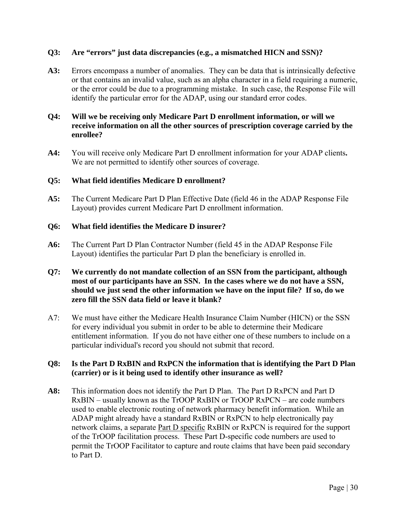# **Q3: Are "errors" just data discrepancies (e.g., a mismatched HICN and SSN)?**

A3: Errors encompass a number of anomalies. They can be data that is intrinsically defective or that contains an invalid value, such as an alpha character in a field requiring a numeric, or the error could be due to a programming mistake. In such case, the Response File will identify the particular error for the ADAP, using our standard error codes.

# **Q4: Will we be receiving only Medicare Part D enrollment information, or will we receive information on all the other sources of prescription coverage carried by the enrollee?**

**A4:** You will receive only Medicare Part D enrollment information for your ADAP clients**.**  We are not permitted to identify other sources of coverage.

#### **Q5: What field identifies Medicare D enrollment?**

**A5:** The Current Medicare Part D Plan Effective Date (field 46 in the ADAP Response File Layout) provides current Medicare Part D enrollment information.

# **Q6: What field identifies the Medicare D insurer?**

A6: The Current Part D Plan Contractor Number (field 45 in the ADAP Response File Layout) identifies the particular Part D plan the beneficiary is enrolled in.

# **Q7: We currently do not mandate collection of an SSN from the participant, although most of our participants have an SSN. In the cases where we do not have a SSN, should we just send the other information we have on the input file? If so, do we zero fill the SSN data field or leave it blank?**

A7: We must have either the Medicare Health Insurance Claim Number (HICN) or the SSN for every individual you submit in order to be able to determine their Medicare entitlement information. If you do not have either one of these numbers to include on a particular individual's record you should not submit that record.

# **Q8: Is the Part D RxBIN and RxPCN the information that is identifying the Part D Plan (carrier) or is it being used to identify other insurance as well?**

**A8:** This information does not identify the Part D Plan. The Part D RxPCN and Part D RxBIN – usually known as the TrOOP RxBIN or TrOOP RxPCN – are code numbers used to enable electronic routing of network pharmacy benefit information. While an ADAP might already have a standard RxBIN or RxPCN to help electronically pay network claims, a separate Part D specific RxBIN or RxPCN is required for the support of the TrOOP facilitation process. These Part D-specific code numbers are used to permit the TrOOP Facilitator to capture and route claims that have been paid secondary to Part D.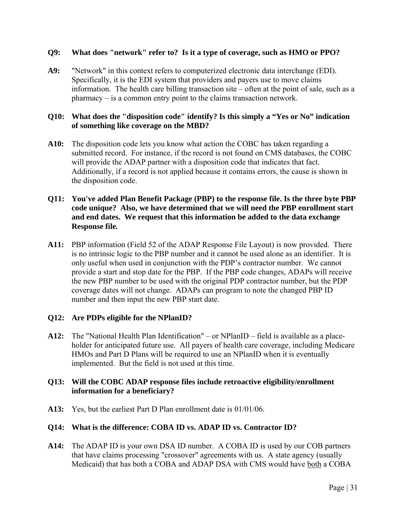# **Q9: What does "network" refer to? Is it a type of coverage, such as HMO or PPO?**

**A9:** "Network" in this context refers to computerized electronic data interchange (EDI). Specifically, it is the EDI system that providers and payers use to move claims information. The health care billing transaction site – often at the point of sale, such as a pharmacy – is a common entry point to the claims transaction network.

# **Q10: What does the "disposition code" identify? Is this simply a "Yes or No" indication of something like coverage on the MBD?**

**A10:** The disposition code lets you know what action the COBC has taken regarding a submitted record. For instance, if the record is not found on CMS databases, the COBC will provide the ADAP partner with a disposition code that indicates that fact. Additionally, if a record is not applied because it contains errors, the cause is shown in the disposition code.

# **Q11: You've added Plan Benefit Package (PBP) to the response file. Is the three byte PBP code unique? Also, we have determined that we will need the PBP enrollment start and end dates. We request that this information be added to the data exchange Response file***.*

only useful when used in conjunction with the PDP's contractor number. We cannot **A11:** PBP information (Field 52 of the ADAP Response File Layout) is now provided. There is no intrinsic logic to the PBP number and it cannot be used alone as an identifier. It is provide a start and stop date for the PBP. If the PBP code changes, ADAPs will receive the new PBP number to be used with the original PDP contractor number, but the PDP coverage dates will not change. ADAPs can program to note the changed PBP ID number and then input the new PBP start date.

# **Q12: Are PDPs eligible for the NPlanID?**

**A12:** The "National Health Plan Identification" – or NPlanID – field is available as a placeholder for anticipated future use. All payers of health care coverage, including Medicare HMOs and Part D Plans will be required to use an NPlanID when it is eventually implemented. But the field is not used at this time.

# **Q13: Will the COBC ADAP response files include retroactive eligibility/enrollment information for a beneficiary?**

**A13:** Yes, but the earliest Part D Plan enrollment date is 01/01/06.

# **Q14: What is the difference: COBA ID vs. ADAP ID vs. Contractor ID?**

**A14:** The ADAP ID is your own DSA ID number. A COBA ID is used by our COB partners that have claims processing "crossover" agreements with us. A state agency (usually Medicaid) that has both a COBA and ADAP DSA with CMS would have both a COBA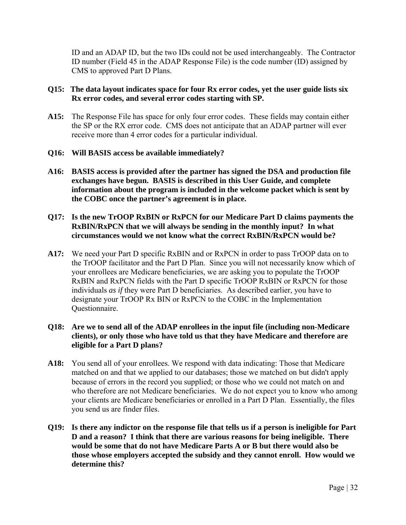ID and an ADAP ID, but the two IDs could not be used interchangeably. The Contractor ID number (Field 45 in the ADAP Response File) is the code number (ID) assigned by CMS to approved Part D Plans.

# **Q15: The data layout indicates space for four Rx error codes, yet the user guide lists six Rx error codes, and several error codes starting with SP.**

**A15:** The Response File has space for only four error codes. These fields may contain either the SP or the RX error code. CMS does not anticipate that an ADAP partner will ever receive more than 4 error codes for a particular individual.

# **Q16: Will BASIS access be available immediately?**

**A16: BASIS access is provided after the partner has signed the DSA and production file exchanges have begun. BASIS is described in this User Guide, and complete information about the program is included in the welcome packet which is sent by the COBC once the partner's agreement is in place.** 

# **Q17: Is the new TrOOP RxBIN or RxPCN for our Medicare Part D claims payments the RxBIN/RxPCN that we will always be sending in the monthly input? In what circumstances would we not know what the correct RxBIN/RxPCN would be?**

**A17:** We need your Part D specific RxBIN and or RxPCN in order to pass TrOOP data on to the TrOOP facilitator and the Part D Plan. Since you will not necessarily know which of your enrollees are Medicare beneficiaries, we are asking you to populate the TrOOP RxBIN and RxPCN fields with the Part D specific TrOOP RxBIN or RxPCN for those individuals *as if* they were Part D beneficiaries. As described earlier, you have to designate your TrOOP Rx BIN or RxPCN to the COBC in the Implementation Questionnaire.

# **Q18: Are we to send all of the ADAP enrollees in the input file (including non-Medicare clients), or only those who have told us that they have Medicare and therefore are eligible for a Part D plans?**

- **A18:** You send all of your enrollees. We respond with data indicating: Those that Medicare matched on and that we applied to our databases; those we matched on but didn't apply because of errors in the record you supplied; or those who we could not match on and who therefore are not Medicare beneficiaries. We do not expect you to know who among your clients are Medicare beneficiaries or enrolled in a Part D Plan. Essentially, the files you send us are finder files.
- **Q19: Is there any indictor on the response file that tells us if a person is ineligible for Part D and a reason? I think that there are various reasons for being ineligible. There would be some that do not have Medicare Parts A or B but there would also be those whose employers accepted the subsidy and they cannot enroll. How would we determine this?**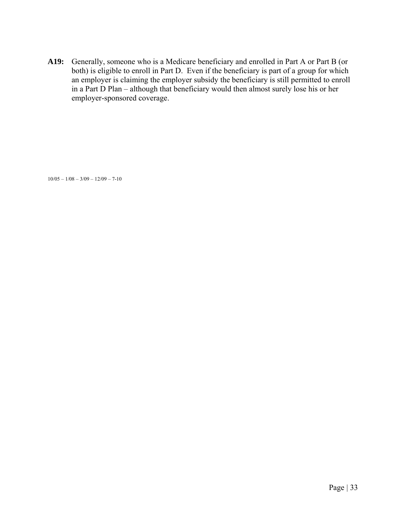**A19:** Generally, someone who is a Medicare beneficiary and enrolled in Part A or Part B (or both) is eligible to enroll in Part D. Even if the beneficiary is part of a group for which an employer is claiming the employer subsidy the beneficiary is still permitted to enroll in a Part D Plan – although that beneficiary would then almost surely lose his or her employer-sponsored coverage.

 $10/05 - 1/08 - 3/09 - 12/09 - 7-10$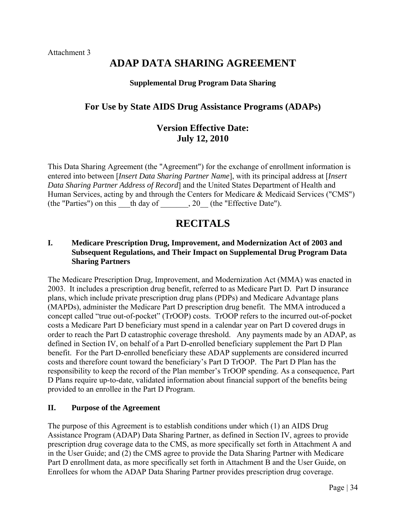# **ADAP DATA SHARING AGREEMENT**

#### **Supplemental Drug Program Data Sharing**

# **For Use by State AIDS Drug Assistance Programs (ADAPs)**

# **Version Effective Date: July 12, 2010**

This Data Sharing Agreement (the "Agreement") for the exchange of enrollment information is entered into between [*Insert Data Sharing Partner Name*], with its principal address at [*Insert Data Sharing Partner Address of Record*] and the United States Department of Health and Human Services, acting by and through the Centers for Medicare & Medicaid Services ("CMS") (the "Parties") on this  $\overline{\phantom{a}}$  th day of  $\overline{\phantom{a}}$ , 20 (the "Effective Date").

# **RECITALS**

# **I. Medicare Prescription Drug, Improvement, and Modernization Act of 2003 and Subsequent Regulations, and Their Impact on Supplemental Drug Program Data Sharing Partners**

The Medicare Prescription Drug, Improvement, and Modernization Act (MMA) was enacted in 2003. It includes a prescription drug benefit, referred to as Medicare Part D. Part D insurance plans, which include private prescription drug plans (PDPs) and Medicare Advantage plans (MAPDs), administer the Medicare Part D prescription drug benefit. The MMA introduced a concept called "true out-of-pocket" (TrOOP) costs. TrOOP refers to the incurred out-of-pocket costs a Medicare Part D beneficiary must spend in a calendar year on Part D covered drugs in order to reach the Part D catastrophic coverage threshold. Any payments made by an ADAP, as defined in Section IV, on behalf of a Part D-enrolled beneficiary supplement the Part D Plan benefit. For the Part D-enrolled beneficiary these ADAP supplements are considered incurred costs and therefore count toward the beneficiary's Part D TrOOP. The Part D Plan has the responsibility to keep the record of the Plan member's TrOOP spending. As a consequence, Part D Plans require up-to-date, validated information about financial support of the benefits being provided to an enrollee in the Part D Program.

#### **II. Purpose of the Agreement**

The purpose of this Agreement is to establish conditions under which (1) an AIDS Drug Assistance Program (ADAP) Data Sharing Partner, as defined in Section IV, agrees to provide prescription drug coverage data to the CMS, as more specifically set forth in Attachment A and in the User Guide; and (2) the CMS agree to provide the Data Sharing Partner with Medicare Part D enrollment data, as more specifically set forth in Attachment B and the User Guide, on Enrollees for whom the ADAP Data Sharing Partner provides prescription drug coverage.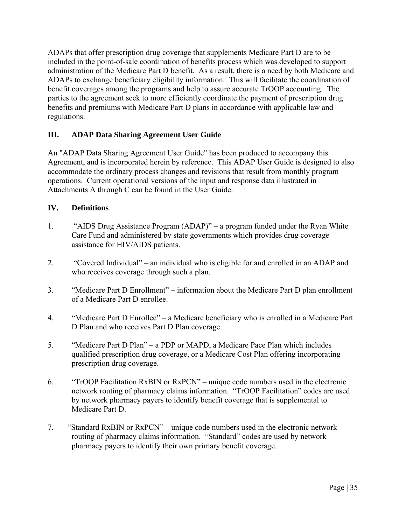ADAPs that offer prescription drug coverage that supplements Medicare Part D are to be included in the point-of-sale coordination of benefits process which was developed to support administration of the Medicare Part D benefit. As a result, there is a need by both Medicare and ADAPs to exchange beneficiary eligibility information. This will facilitate the coordination of benefit coverages among the programs and help to assure accurate TrOOP accounting. The parties to the agreement seek to more efficiently coordinate the payment of prescription drug benefits and premiums with Medicare Part D plans in accordance with applicable law and regulations.

# **III. ADAP Data Sharing Agreement User Guide**

An "ADAP Data Sharing Agreement User Guide" has been produced to accompany this Agreement, and is incorporated herein by reference. This ADAP User Guide is designed to also accommodate the ordinary process changes and revisions that result from monthly program operations. Current operational versions of the input and response data illustrated in Attachments A through C can be found in the User Guide.

# **IV. Definitions**

- 1. "AIDS Drug Assistance Program (ADAP)" a program funded under the Ryan White Care Fund and administered by state governments which provides drug coverage assistance for HIV/AIDS patients.
- 2. "Covered Individual" an individual who is eligible for and enrolled in an ADAP and who receives coverage through such a plan.
- 3. "Medicare Part D Enrollment" information about the Medicare Part D plan enrollment of a Medicare Part D enrollee.
- 4. "Medicare Part D Enrollee" a Medicare beneficiary who is enrolled in a Medicare Part D Plan and who receives Part D Plan coverage.
- 5. "Medicare Part D Plan" a PDP or MAPD, a Medicare Pace Plan which includes qualified prescription drug coverage, or a Medicare Cost Plan offering incorporating prescription drug coverage.
- 6. "TrOOP Facilitation RxBIN or RxPCN" unique code numbers used in the electronic network routing of pharmacy claims information. "TrOOP Facilitation" codes are used by network pharmacy payers to identify benefit coverage that is supplemental to Medicare Part D.
- 7. "Standard RxBIN or RxPCN" unique code numbers used in the electronic network routing of pharmacy claims information. "Standard" codes are used by network pharmacy payers to identify their own primary benefit coverage.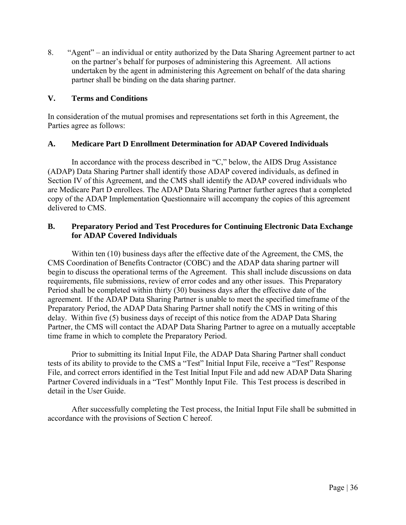8. "Agent" – an individual or entity authorized by the Data Sharing Agreement partner to act on the partner's behalf for purposes of administering this Agreement. All actions undertaken by the agent in administering this Agreement on behalf of the data sharing partner shall be binding on the data sharing partner.

# **V. Terms and Conditions**

In consideration of the mutual promises and representations set forth in this Agreement, the Parties agree as follows:

# **A. Medicare Part D Enrollment Determination for ADAP Covered Individuals**

In accordance with the process described in "C," below, the AIDS Drug Assistance (ADAP) Data Sharing Partner shall identify those ADAP covered individuals, as defined in Section IV of this Agreement, and the CMS shall identify the ADAP covered individuals who are Medicare Part D enrollees. The ADAP Data Sharing Partner further agrees that a completed copy of the ADAP Implementation Questionnaire will accompany the copies of this agreement delivered to CMS.

# **B. Preparatory Period and Test Procedures for Continuing Electronic Data Exchange for ADAP Covered Individuals**

Within ten (10) business days after the effective date of the Agreement, the CMS, the CMS Coordination of Benefits Contractor (COBC) and the ADAP data sharing partner will begin to discuss the operational terms of the Agreement. This shall include discussions on data requirements, file submissions, review of error codes and any other issues. This Preparatory Period shall be completed within thirty (30) business days after the effective date of the agreement. If the ADAP Data Sharing Partner is unable to meet the specified timeframe of the Preparatory Period, the ADAP Data Sharing Partner shall notify the CMS in writing of this delay. Within five (5) business days of receipt of this notice from the ADAP Data Sharing Partner, the CMS will contact the ADAP Data Sharing Partner to agree on a mutually acceptable time frame in which to complete the Preparatory Period.

Prior to submitting its Initial Input File, the ADAP Data Sharing Partner shall conduct tests of its ability to provide to the CMS a "Test" Initial Input File, receive a "Test" Response File, and correct errors identified in the Test Initial Input File and add new ADAP Data Sharing Partner Covered individuals in a "Test" Monthly Input File. This Test process is described in detail in the User Guide.

After successfully completing the Test process, the Initial Input File shall be submitted in accordance with the provisions of Section C hereof.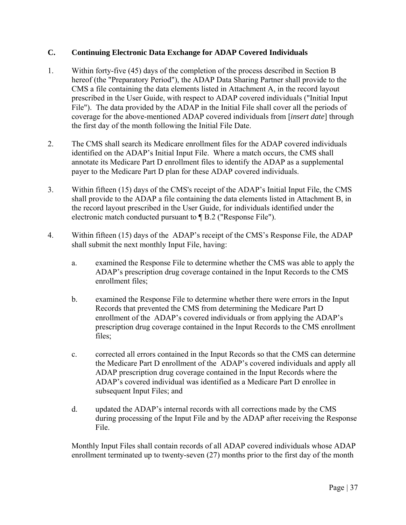# **C. Continuing Electronic Data Exchange for ADAP Covered Individuals**

- 1. Within forty-five (45) days of the completion of the process described in Section B hereof (the "Preparatory Period"), the ADAP Data Sharing Partner shall provide to the CMS a file containing the data elements listed in Attachment A, in the record layout prescribed in the User Guide, with respect to ADAP covered individuals ("Initial Input File"). The data provided by the ADAP in the Initial File shall cover all the periods of coverage for the above-mentioned ADAP covered individuals from [*insert date*] through the first day of the month following the Initial File Date.
- 2. The CMS shall search its Medicare enrollment files for the ADAP covered individuals identified on the ADAP's Initial Input File. Where a match occurs, the CMS shall annotate its Medicare Part D enrollment files to identify the ADAP as a supplemental payer to the Medicare Part D plan for these ADAP covered individuals.
- 3. Within fifteen (15) days of the CMS's receipt of the ADAP's Initial Input File, the CMS shall provide to the ADAP a file containing the data elements listed in Attachment B, in the record layout prescribed in the User Guide, for individuals identified under the electronic match conducted pursuant to ¶ B.2 ("Response File").
- 4. Within fifteen (15) days of the ADAP's receipt of the CMS's Response File, the ADAP shall submit the next monthly Input File, having:
	- a. examined the Response File to determine whether the CMS was able to apply the ADAP's prescription drug coverage contained in the Input Records to the CMS enrollment files;
	- b. examined the Response File to determine whether there were errors in the Input Records that prevented the CMS from determining the Medicare Part D enrollment of the ADAP's covered individuals or from applying the ADAP's prescription drug coverage contained in the Input Records to the CMS enrollment files;
	- c. corrected all errors contained in the Input Records so that the CMS can determine the Medicare Part D enrollment of the ADAP's covered individuals and apply all ADAP prescription drug coverage contained in the Input Records where the ADAP's covered individual was identified as a Medicare Part D enrollee in subsequent Input Files; and
	- d. updated the ADAP's internal records with all corrections made by the CMS during processing of the Input File and by the ADAP after receiving the Response File.

Monthly Input Files shall contain records of all ADAP covered individuals whose ADAP enrollment terminated up to twenty-seven (27) months prior to the first day of the month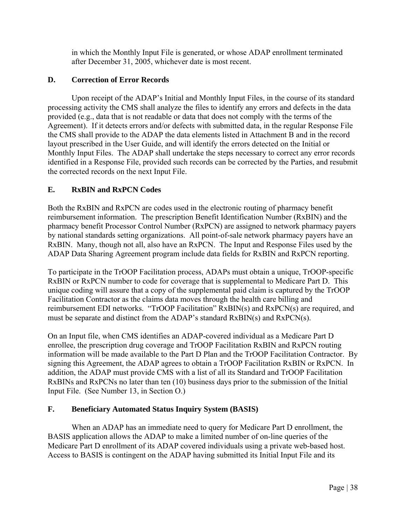in which the Monthly Input File is generated, or whose ADAP enrollment terminated after December 31, 2005, whichever date is most recent.

# **D. Correction of Error Records**

Upon receipt of the ADAP's Initial and Monthly Input Files, in the course of its standard processing activity the CMS shall analyze the files to identify any errors and defects in the data provided (e.g., data that is not readable or data that does not comply with the terms of the Agreement). If it detects errors and/or defects with submitted data, in the regular Response File the CMS shall provide to the ADAP the data elements listed in Attachment B and in the record layout prescribed in the User Guide, and will identify the errors detected on the Initial or Monthly Input Files. The ADAP shall undertake the steps necessary to correct any error records identified in a Response File, provided such records can be corrected by the Parties, and resubmit the corrected records on the next Input File.

# **E. RxBIN and RxPCN Codes**

Both the RxBIN and RxPCN are codes used in the electronic routing of pharmacy benefit reimbursement information. The prescription Benefit Identification Number (RxBIN) and the pharmacy benefit Processor Control Number (RxPCN) are assigned to network pharmacy payers by national standards setting organizations. All point-of-sale network pharmacy payers have an RxBIN. Many, though not all, also have an RxPCN. The Input and Response Files used by the ADAP Data Sharing Agreement program include data fields for RxBIN and RxPCN reporting.

To participate in the TrOOP Facilitation process, ADAPs must obtain a unique, TrOOP-specific RxBIN or RxPCN number to code for coverage that is supplemental to Medicare Part D. This unique coding will assure that a copy of the supplemental paid claim is captured by the TrOOP Facilitation Contractor as the claims data moves through the health care billing and reimbursement EDI networks. "TrOOP Facilitation" RxBIN(s) and RxPCN(s) are required, and must be separate and distinct from the ADAP's standard RxBIN(s) and RxPCN(s).

On an Input file, when CMS identifies an ADAP-covered individual as a Medicare Part D enrollee, the prescription drug coverage and TrOOP Facilitation RxBIN and RxPCN routing information will be made available to the Part D Plan and the TrOOP Facilitation Contractor. By signing this Agreement, the ADAP agrees to obtain a TrOOP Facilitation RxBIN or RxPCN. In addition, the ADAP must provide CMS with a list of all its Standard and TrOOP Facilitation RxBINs and RxPCNs no later than ten (10) business days prior to the submission of the Initial Input File. (See Number 13, in Section O.)

# **F. Beneficiary Automated Status Inquiry System (BASIS)**

When an ADAP has an immediate need to query for Medicare Part D enrollment, the BASIS application allows the ADAP to make a limited number of on-line queries of the Medicare Part D enrollment of its ADAP covered individuals using a private web-based host. Access to BASIS is contingent on the ADAP having submitted its Initial Input File and its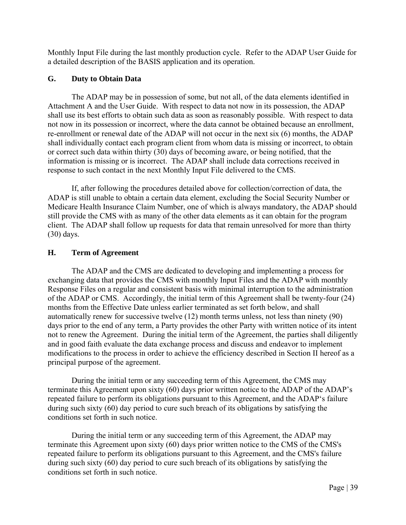Monthly Input File during the last monthly production cycle. Refer to the ADAP User Guide for a detailed description of the BASIS application and its operation.

# **G. Duty to Obtain Data**

The ADAP may be in possession of some, but not all, of the data elements identified in Attachment A and the User Guide. With respect to data not now in its possession, the ADAP shall use its best efforts to obtain such data as soon as reasonably possible. With respect to data not now in its possession or incorrect, where the data cannot be obtained because an enrollment, re-enrollment or renewal date of the ADAP will not occur in the next six (6) months, the ADAP shall individually contact each program client from whom data is missing or incorrect, to obtain or correct such data within thirty (30) days of becoming aware, or being notified, that the information is missing or is incorrect. The ADAP shall include data corrections received in response to such contact in the next Monthly Input File delivered to the CMS.

If, after following the procedures detailed above for collection/correction of data, the ADAP is still unable to obtain a certain data element, excluding the Social Security Number or Medicare Health Insurance Claim Number, one of which is always mandatory, the ADAP should still provide the CMS with as many of the other data elements as it can obtain for the program client. The ADAP shall follow up requests for data that remain unresolved for more than thirty (30) days.

# **H. Term of Agreement**

 exchanging data that provides the CMS with monthly Input Files and the ADAP with monthly The ADAP and the CMS are dedicated to developing and implementing a process for Response Files on a regular and consistent basis with minimal interruption to the administration of the ADAP or CMS. Accordingly, the initial term of this Agreement shall be twenty-four (24) months from the Effective Date unless earlier terminated as set forth below, and shall automatically renew for successive twelve (12) month terms unless, not less than ninety (90) days prior to the end of any term, a Party provides the other Party with written notice of its intent not to renew the Agreement. During the initial term of the Agreement, the parties shall diligently and in good faith evaluate the data exchange process and discuss and endeavor to implement modifications to the process in order to achieve the efficiency described in Section II hereof as a principal purpose of the agreement.

During the initial term or any succeeding term of this Agreement, the CMS may terminate this Agreement upon sixty (60) days prior written notice to the ADAP of the ADAP's repeated failure to perform its obligations pursuant to this Agreement, and the ADAP's failure during such sixty (60) day period to cure such breach of its obligations by satisfying the conditions set forth in such notice.

During the initial term or any succeeding term of this Agreement, the ADAP may terminate this Agreement upon sixty (60) days prior written notice to the CMS of the CMS's repeated failure to perform its obligations pursuant to this Agreement, and the CMS's failure during such sixty (60) day period to cure such breach of its obligations by satisfying the conditions set forth in such notice.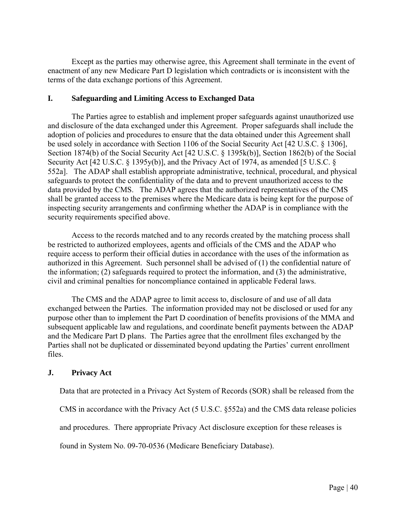Except as the parties may otherwise agree, this Agreement shall terminate in the event of enactment of any new Medicare Part D legislation which contradicts or is inconsistent with the terms of the data exchange portions of this Agreement.

#### **I. Safeguarding and Limiting Access to Exchanged Data**

The Parties agree to establish and implement proper safeguards against unauthorized use and disclosure of the data exchanged under this Agreement. Proper safeguards shall include the adoption of policies and procedures to ensure that the data obtained under this Agreement shall be used solely in accordance with Section 1106 of the Social Security Act [42 U.S.C. § 1306], Section 1874(b) of the Social Security Act [42 U.S.C. § 1395k(b)], Section 1862(b) of the Social Security Act [42 U.S.C. § 1395y(b)], and the Privacy Act of 1974, as amended [5 U.S.C. § 552a]. The ADAP shall establish appropriate administrative, technical, procedural, and physical safeguards to protect the confidentiality of the data and to prevent unauthorized access to the data provided by the CMS. The ADAP agrees that the authorized representatives of the CMS shall be granted access to the premises where the Medicare data is being kept for the purpose of inspecting security arrangements and confirming whether the ADAP is in compliance with the security requirements specified above.

Access to the records matched and to any records created by the matching process shall be restricted to authorized employees, agents and officials of the CMS and the ADAP who require access to perform their official duties in accordance with the uses of the information as authorized in this Agreement. Such personnel shall be advised of (1) the confidential nature of the information; (2) safeguards required to protect the information, and (3) the administrative, civil and criminal penalties for noncompliance contained in applicable Federal laws.

The CMS and the ADAP agree to limit access to, disclosure of and use of all data exchanged between the Parties. The information provided may not be disclosed or used for any purpose other than to implement the Part D coordination of benefits provisions of the MMA and subsequent applicable law and regulations, and coordinate benefit payments between the ADAP and the Medicare Part D plans. The Parties agree that the enrollment files exchanged by the Parties shall not be duplicated or disseminated beyond updating the Parties' current enrollment files.

# **J. Privacy Act**

Data that are protected in a Privacy Act System of Records (SOR) shall be released from the

CMS in accordance with the Privacy Act (5 U.S.C. §552a) and the CMS data release policies

and procedures. There appropriate Privacy Act disclosure exception for these releases is

found in System No. 09-70-0536 (Medicare Beneficiary Database).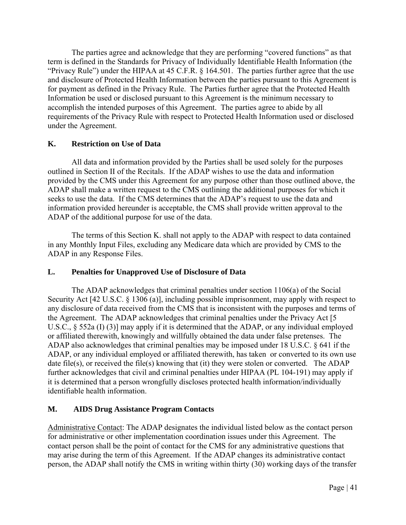The parties agree and acknowledge that they are performing "covered functions" as that term is defined in the Standards for Privacy of Individually Identifiable Health Information (the "Privacy Rule") under the HIPAA at 45 C.F.R. § 164.501. The parties further agree that the use and disclosure of Protected Health Information between the parties pursuant to this Agreement is for payment as defined in the Privacy Rule. The Parties further agree that the Protected Health Information be used or disclosed pursuant to this Agreement is the minimum necessary to accomplish the intended purposes of this Agreement. The parties agree to abide by all requirements of the Privacy Rule with respect to Protected Health Information used or disclosed under the Agreement.

# **K. Restriction on Use of Data**

All data and information provided by the Parties shall be used solely for the purposes outlined in Section II of the Recitals. If the ADAP wishes to use the data and information provided by the CMS under this Agreement for any purpose other than those outlined above, the ADAP shall make a written request to the CMS outlining the additional purposes for which it seeks to use the data. If the CMS determines that the ADAP's request to use the data and information provided hereunder is acceptable, the CMS shall provide written approval to the ADAP of the additional purpose for use of the data.

The terms of this Section K. shall not apply to the ADAP with respect to data contained in any Monthly Input Files, excluding any Medicare data which are provided by CMS to the ADAP in any Response Files.

# **L. Penalties for Unapproved Use of Disclosure of Data**

The ADAP acknowledges that criminal penalties under section 1106(a) of the Social Security Act [42 U.S.C. § 1306 (a)], including possible imprisonment, may apply with respect to any disclosure of data received from the CMS that is inconsistent with the purposes and terms of the Agreement. The ADAP acknowledges that criminal penalties under the Privacy Act [5 U.S.C., § 552a (I) (3)] may apply if it is determined that the ADAP, or any individual employed or affiliated therewith, knowingly and willfully obtained the data under false pretenses. The ADAP also acknowledges that criminal penalties may be imposed under 18 U.S.C. § 641 if the ADAP, or any individual employed or affiliated therewith, has taken or converted to its own use date file(s), or received the file(s) knowing that (it) they were stolen or converted. The ADAP further acknowledges that civil and criminal penalties under HIPAA (PL 104-191) may apply if it is determined that a person wrongfully discloses protected health information/individually identifiable health information.

# **M. AIDS Drug Assistance Program Contacts**

Administrative Contact: The ADAP designates the individual listed below as the contact person for administrative or other implementation coordination issues under this Agreement. The contact person shall be the point of contact for the CMS for any administrative questions that may arise during the term of this Agreement. If the ADAP changes its administrative contact person, the ADAP shall notify the CMS in writing within thirty (30) working days of the transfer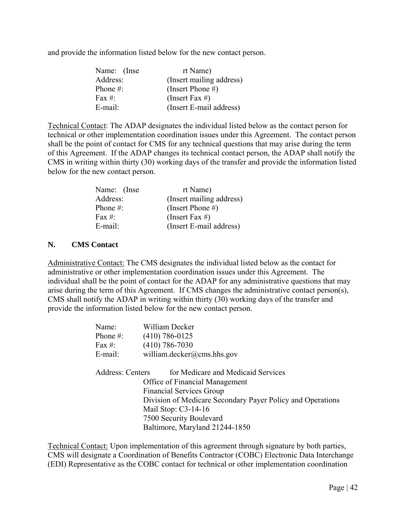and provide the information listed below for the new contact person.

| Name: (Inse | rt Name)                 |
|-------------|--------------------------|
| Address:    | (Insert mailing address) |
| Phone $#$ : | (Insert Phone #)         |
| Fax #:      | (Insert Fax #)           |
| E-mail:     | (Insert E-mail address)  |

Technical Contact: The ADAP designates the individual listed below as the contact person for technical or other implementation coordination issues under this Agreement. The contact person shall be the point of contact for CMS for any technical questions that may arise during the term of this Agreement. If the ADAP changes its technical contact person, the ADAP shall notify the CMS in writing within thirty (30) working days of the transfer and provide the information listed below for the new contact person.

| Name: (Inse | rt Name)                 |
|-------------|--------------------------|
| Address:    | (Insert mailing address) |
| Phone $#$ : | (Insert Phone #)         |
| Fax #:      | (Insert Fax #)           |
| $E$ -mail:  | (Insert E-mail address)  |

# **N. CMS Contact**

Administrative Contact: The CMS designates the individual listed below as the contact for administrative or other implementation coordination issues under this Agreement. The individual shall be the point of contact for the ADAP for any administrative questions that may arise during the term of this Agreement. If CMS changes the administrative contact person(s), CMS shall notify the ADAP in writing within thirty (30) working days of the transfer and provide the information listed below for the new contact person.

| Name:                   | William Decker                                             |  |
|-------------------------|------------------------------------------------------------|--|
| Phone #:                | $(410)$ 786-0125                                           |  |
| Fax #:                  | $(410)$ 786-7030                                           |  |
| E-mail:                 | william.decker@cms.hhs.gov                                 |  |
| <b>Address: Centers</b> | for Medicare and Medicaid Services                         |  |
|                         | Office of Financial Management                             |  |
|                         | <b>Financial Services Group</b>                            |  |
|                         | Division of Medicare Secondary Payer Policy and Operations |  |
|                         | Mail Stop: $C3-14-16$                                      |  |
|                         | 7500 Security Boulevard                                    |  |
|                         | Baltimore, Maryland 21244-1850                             |  |

Technical Contact: Upon implementation of this agreement through signature by both parties, CMS will designate a Coordination of Benefits Contractor (COBC) Electronic Data Interchange (EDI) Representative as the COBC contact for technical or other implementation coordination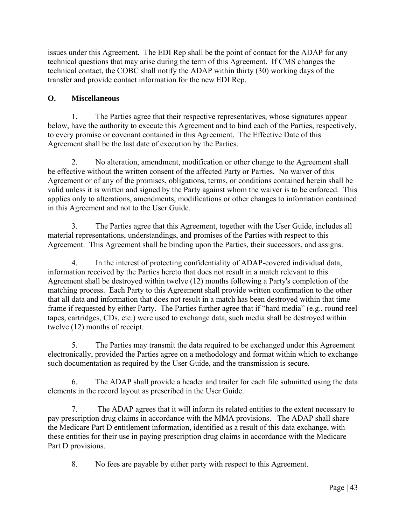issues under this Agreement. The EDI Rep shall be the point of contact for the ADAP for any technical questions that may arise during the term of this Agreement. If CMS changes the technical contact, the COBC shall notify the ADAP within thirty (30) working days of the transfer and provide contact information for the new EDI Rep.

# **O. Miscellaneous**

1. The Parties agree that their respective representatives, whose signatures appear below, have the authority to execute this Agreement and to bind each of the Parties, respectively, to every promise or covenant contained in this Agreement. The Effective Date of this Agreement shall be the last date of execution by the Parties.

2. No alteration, amendment, modification or other change to the Agreement shall be effective without the written consent of the affected Party or Parties. No waiver of this Agreement or of any of the promises, obligations, terms, or conditions contained herein shall be valid unless it is written and signed by the Party against whom the waiver is to be enforced. This applies only to alterations, amendments, modifications or other changes to information contained in this Agreement and not to the User Guide.

3. The Parties agree that this Agreement, together with the User Guide, includes all material representations, understandings, and promises of the Parties with respect to this Agreement. This Agreement shall be binding upon the Parties, their successors, and assigns.

4. In the interest of protecting confidentiality of ADAP-covered individual data, information received by the Parties hereto that does not result in a match relevant to this Agreement shall be destroyed within twelve (12) months following a Party's completion of the matching process. Each Party to this Agreement shall provide written confirmation to the other that all data and information that does not result in a match has been destroyed within that time frame if requested by either Party. The Parties further agree that if "hard media" (e.g., round reel tapes, cartridges, CDs, etc.) were used to exchange data, such media shall be destroyed within twelve (12) months of receipt.

5. The Parties may transmit the data required to be exchanged under this Agreement electronically, provided the Parties agree on a methodology and format within which to exchange such documentation as required by the User Guide, and the transmission is secure.

6. The ADAP shall provide a header and trailer for each file submitted using the data elements in the record layout as prescribed in the User Guide.

 Part D provisions. 7. The ADAP agrees that it will inform its related entities to the extent necessary to pay prescription drug claims in accordance with the MMA provisions. The ADAP shall share the Medicare Part D entitlement information, identified as a result of this data exchange, with these entities for their use in paying prescription drug claims in accordance with the Medicare

8. No fees are payable by either party with respect to this Agreement.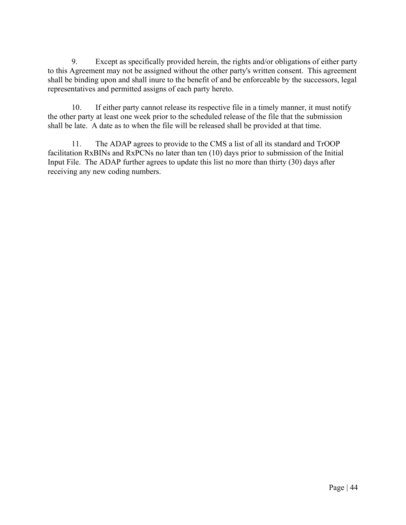9. Except as specifically provided herein, the rights and/or obligations of either party to this Agreement may not be assigned without the other party's written consent. This agreement shall be binding upon and shall inure to the benefit of and be enforceable by the successors, legal representatives and permitted assigns of each party hereto.

10. If either party cannot release its respective file in a timely manner, it must notify the other party at least one week prior to the scheduled release of the file that the submission shall be late. A date as to when the file will be released shall be provided at that time.

11. The ADAP agrees to provide to the CMS a list of all its standard and TrOOP facilitation RxBINs and RxPCNs no later than ten (10) days prior to submission of the Initial Input File. The ADAP further agrees to update this list no more than thirty (30) days after receiving any new coding numbers.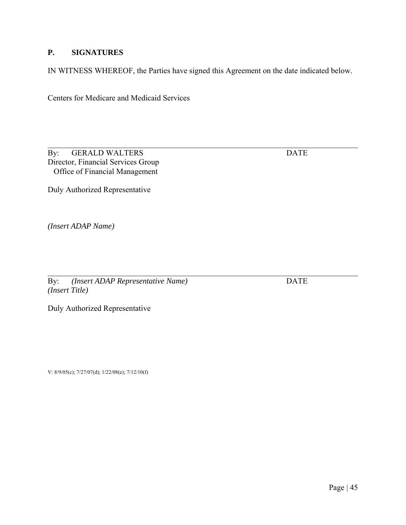# **P. SIGNATURES**

IN WITNESS WHEREOF, the Parties have signed this Agreement on the date indicated below.

\_\_\_\_\_\_\_\_\_\_\_\_\_\_\_\_\_\_\_\_\_\_\_\_\_\_\_\_\_\_\_\_\_\_\_\_\_\_\_\_\_\_\_\_\_\_\_\_\_\_\_\_\_\_\_\_\_\_\_\_\_\_\_\_\_\_\_\_\_\_\_\_\_\_\_\_\_\_

Centers for Medicare and Medicaid Services

By: GERALD WALTERS DATE Director, Financial Services Group Office of Financial Management

Duly Authorized Representative

*(Insert ADAP Name)* 

By: *(Insert ADAP Representative Name)* DATE *(Insert Title)* 

Duly Authorized Representative

V: 8/9/05(c); 7/27/07(d); 1/22/08(e); 7/12/10(f)

\_\_\_\_\_\_\_\_\_\_\_\_\_\_\_\_\_\_\_\_\_\_\_\_\_\_\_\_\_\_\_\_\_\_\_\_\_\_\_\_\_\_\_\_\_\_\_\_\_\_\_\_\_\_\_\_\_\_\_\_\_\_\_\_\_\_\_\_\_\_\_\_\_\_\_\_\_\_

Page | 45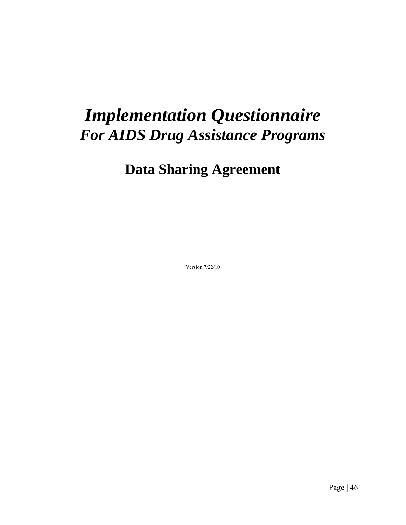# *Implementation Questionnaire For AIDS Drug Assistance Programs*

# **Data Sharing Agreement**

Version 7/22/10